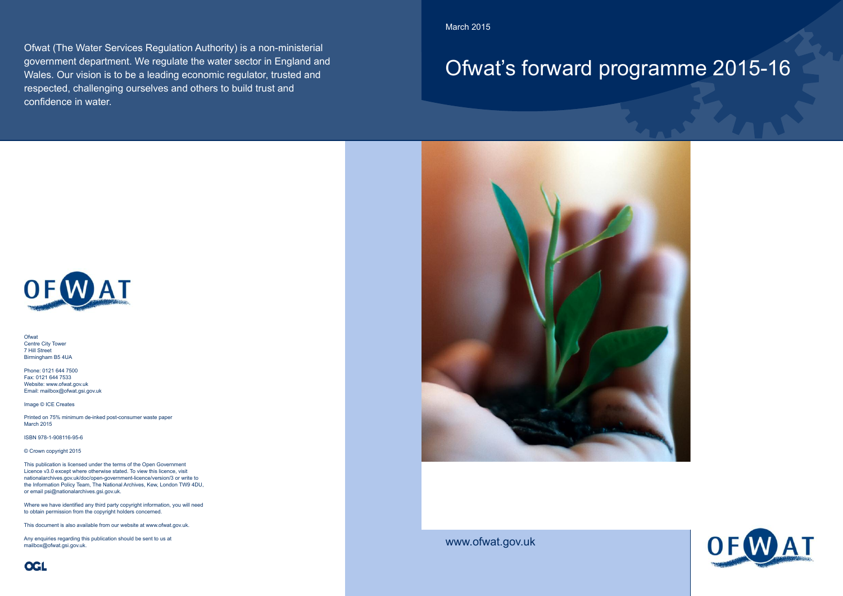March 2015

# Ofwat's forward programme 2015-16



www.ofwat.gov.uk

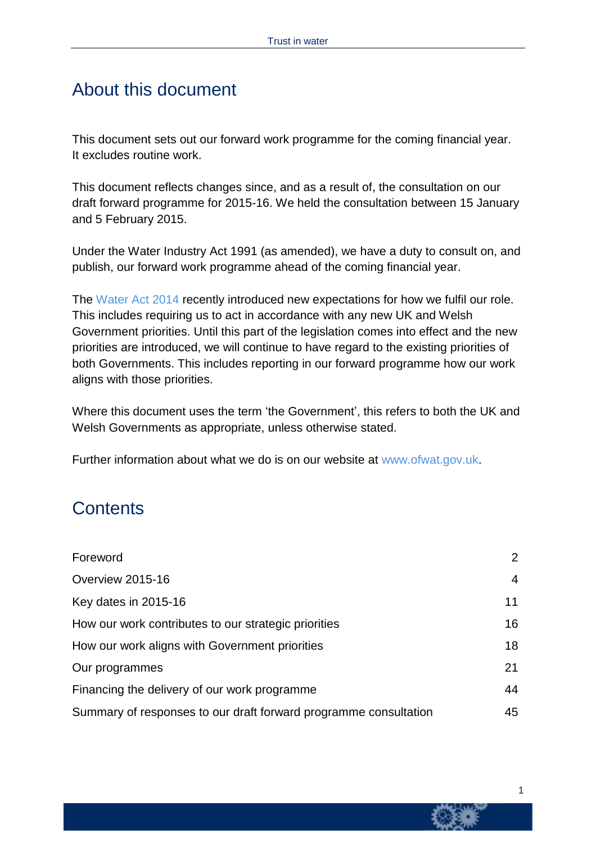### About this document

This document sets out our forward work programme for the coming financial year. It excludes routine work.

This document reflects changes since, and as a result of, the consultation on our draft forward programme for 2015-16. We held the consultation between 15 January and 5 February 2015.

Under the Water Industry Act 1991 (as amended), we have a duty to consult on, and publish, our forward work programme ahead of the coming financial year.

The [Water](http://www.legislation.gov.uk/ukpga/2014/21/contents/enacted) Act 2014 recently introduced new expectations for how we fulfil our role. This includes requiring us to act in accordance with any new UK and Welsh Government priorities. Until this part of the legislation comes into effect and the new priorities are introduced, we will continue to have regard to the existing priorities of both Governments. This includes reporting in our forward programme how our work aligns with those priorities.

Where this document uses the term 'the Government', this refers to both the UK and Welsh Governments as appropriate, unless otherwise stated.

Further information about what we do is on our website at [www.ofwat.gov.uk.](http://www.ofwat.gov.uk/)

### **Contents**

| Foreword                                                         | 2  |
|------------------------------------------------------------------|----|
| Overview 2015-16                                                 | 4  |
| Key dates in 2015-16                                             | 11 |
| How our work contributes to our strategic priorities             | 16 |
| How our work aligns with Government priorities                   | 18 |
| Our programmes                                                   | 21 |
| Financing the delivery of our work programme                     | 44 |
| Summary of responses to our draft forward programme consultation | 45 |

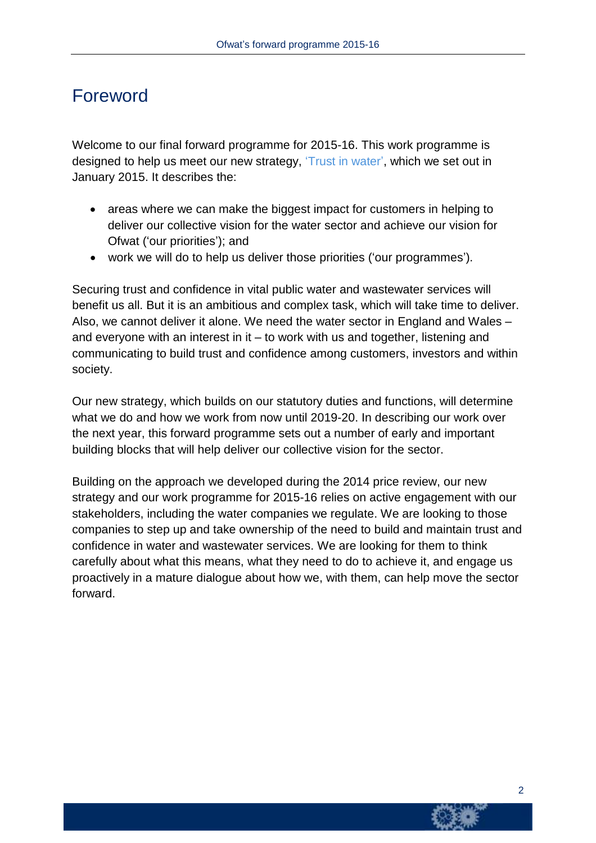# Foreword

Welcome to our final forward programme for 2015-16. This work programme is designed to help us meet our new strategy, 'Trust in [water',](http://www.ofwat.gov.uk/aboutofwat) which we set out in January 2015. It describes the:

- areas where we can make the biggest impact for customers in helping to deliver our collective vision for the water sector and achieve our vision for Ofwat ('our priorities'); and
- work we will do to help us deliver those priorities ('our programmes').

Securing trust and confidence in vital public water and wastewater services will benefit us all. But it is an ambitious and complex task, which will take time to deliver. Also, we cannot deliver it alone. We need the water sector in England and Wales – and everyone with an interest in it – to work with us and together, listening and communicating to build trust and confidence among customers, investors and within society.

Our new strategy, which builds on our statutory duties and functions, will determine what we do and how we work from now until 2019-20. In describing our work over the next year, this forward programme sets out a number of early and important building blocks that will help deliver our collective vision for the sector.

Building on the approach we developed during the 2014 price review, our new strategy and our work programme for 2015-16 relies on active engagement with our stakeholders, including the water companies we regulate. We are looking to those companies to step up and take ownership of the need to build and maintain trust and confidence in water and wastewater services. We are looking for them to think carefully about what this means, what they need to do to achieve it, and engage us proactively in a mature dialogue about how we, with them, can help move the sector forward.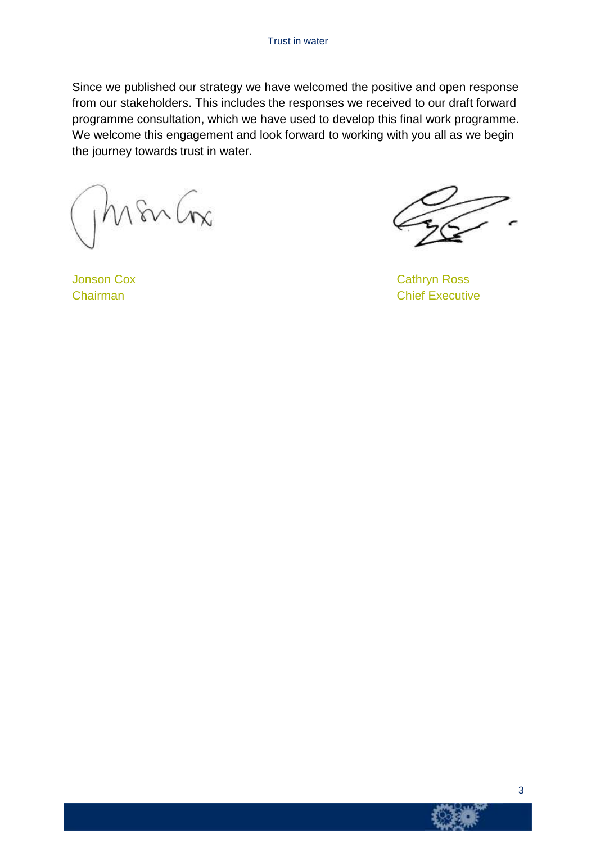Since we published our strategy we have welcomed the positive and open response from our stakeholders. This includes the responses we received to our draft forward programme consultation, which we have used to develop this final work programme. We welcome this engagement and look forward to working with you all as we begin the journey towards trust in water.

mbr

Chairman Chairman Chairman Chief Executive

**Jonson Cox** Cathryn Ross

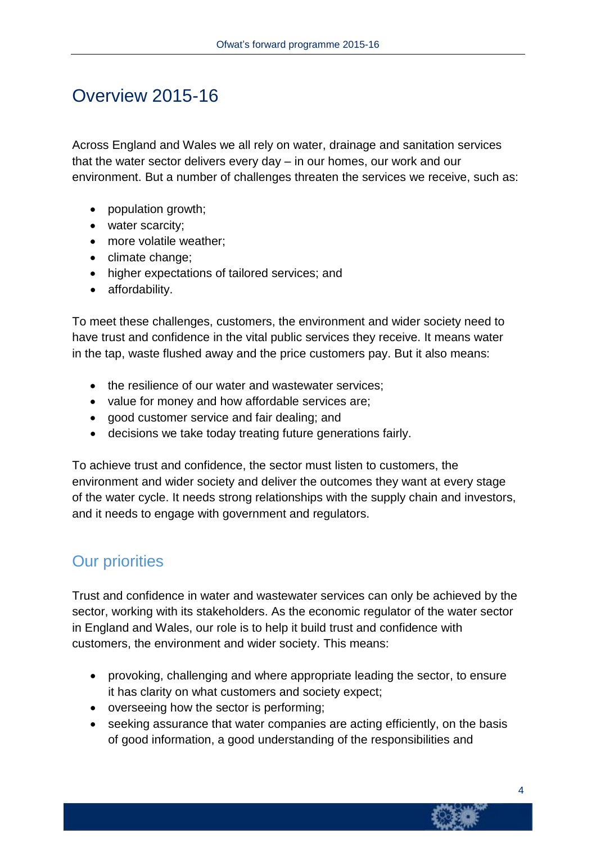# Overview 2015-16

Across England and Wales we all rely on water, drainage and sanitation services that the water sector delivers every day – in our homes, our work and our environment. But a number of challenges threaten the services we receive, such as:

- population growth;
- water scarcity;
- more volatile weather;
- climate change;
- higher expectations of tailored services; and
- affordability.

To meet these challenges, customers, the environment and wider society need to have trust and confidence in the vital public services they receive. It means water in the tap, waste flushed away and the price customers pay. But it also means:

- the resilience of our water and wastewater services:
- value for money and how affordable services are;
- good customer service and fair dealing; and
- decisions we take today treating future generations fairly.

To achieve trust and confidence, the sector must listen to customers, the environment and wider society and deliver the outcomes they want at every stage of the water cycle. It needs strong relationships with the supply chain and investors, and it needs to engage with government and regulators.

### Our priorities

Trust and confidence in water and wastewater services can only be achieved by the sector, working with its stakeholders. As the economic regulator of the water sector in England and Wales, our role is to help it build trust and confidence with customers, the environment and wider society. This means:

- provoking, challenging and where appropriate leading the sector, to ensure it has clarity on what customers and society expect;
- overseeing how the sector is performing;
- seeking assurance that water companies are acting efficiently, on the basis of good information, a good understanding of the responsibilities and

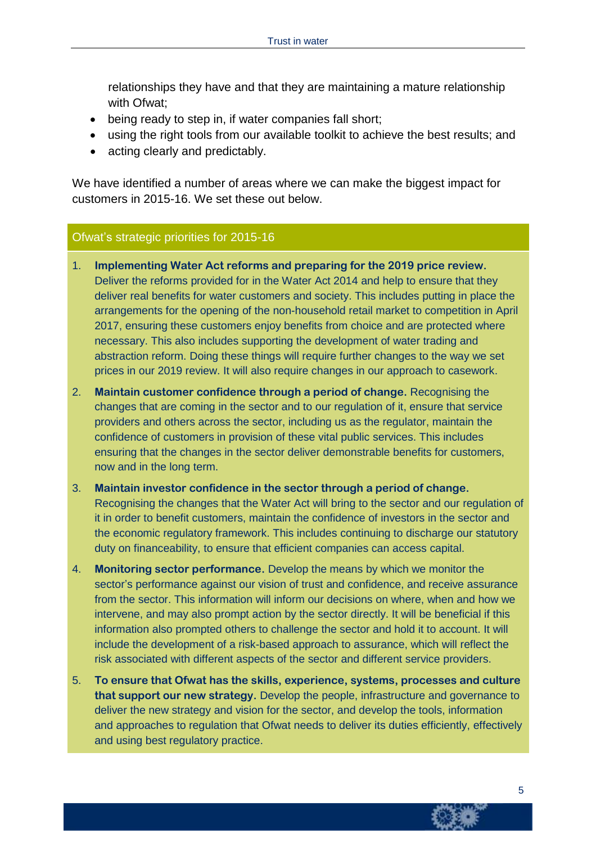relationships they have and that they are maintaining a mature relationship with Ofwat;

- being ready to step in, if water companies fall short;
- using the right tools from our available toolkit to achieve the best results; and
- acting clearly and predictably.

We have identified a number of areas where we can make the biggest impact for customers in 2015-16. We set these out below.

#### Ofwat's strategic priorities for 2015-16

- 1. **Implementing Water Act reforms and preparing for the 2019 price review.** Deliver the reforms provided for in the Water Act 2014 and help to ensure that they deliver real benefits for water customers and society. This includes putting in place the arrangements for the opening of the non-household retail market to competition in April 2017, ensuring these customers enjoy benefits from choice and are protected where necessary. This also includes supporting the development of water trading and abstraction reform. Doing these things will require further changes to the way we set prices in our 2019 review. It will also require changes in our approach to casework.
- 2. **Maintain customer confidence through a period of change.** Recognising the changes that are coming in the sector and to our regulation of it, ensure that service providers and others across the sector, including us as the regulator, maintain the confidence of customers in provision of these vital public services. This includes ensuring that the changes in the sector deliver demonstrable benefits for customers, now and in the long term.
- 3. **Maintain investor confidence in the sector through a period of change.** Recognising the changes that the Water Act will bring to the sector and our regulation of it in order to benefit customers, maintain the confidence of investors in the sector and the economic regulatory framework. This includes continuing to discharge our statutory duty on financeability, to ensure that efficient companies can access capital.
- 4. **Monitoring sector performance.** Develop the means by which we monitor the sector's performance against our vision of trust and confidence, and receive assurance from the sector. This information will inform our decisions on where, when and how we intervene, and may also prompt action by the sector directly. It will be beneficial if this information also prompted others to challenge the sector and hold it to account. It will include the development of a risk-based approach to assurance, which will reflect the risk associated with different aspects of the sector and different service providers.
- 5. **To ensure that Ofwat has the skills, experience, systems, processes and culture that support our new strategy.** Develop the people, infrastructure and governance to deliver the new strategy and vision for the sector, and develop the tools, information and approaches to regulation that Ofwat needs to deliver its duties efficiently, effectively and using best regulatory practice.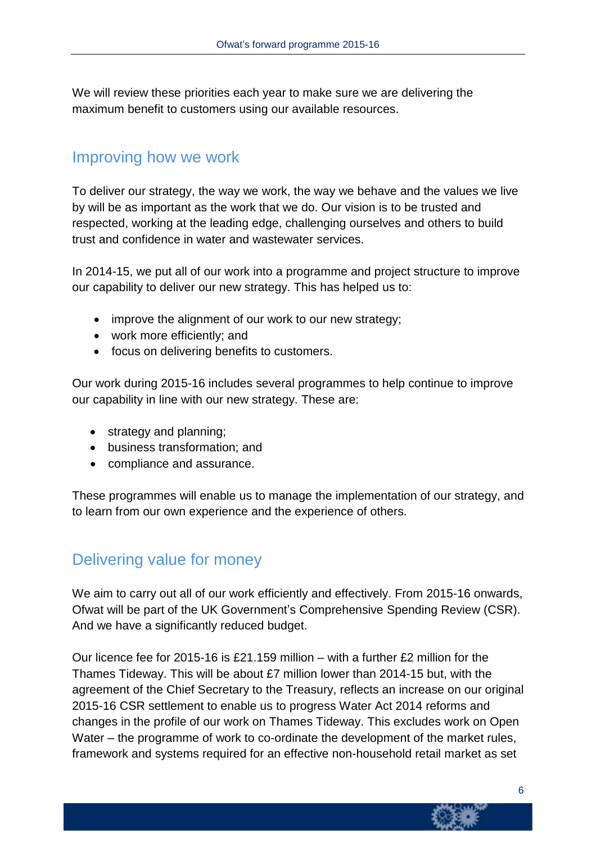We will review these priorities each year to make sure we are delivering the maximum benefit to customers using our available resources.

### Improving how we work

To deliver our strategy, the way we work, the way we behave and the values we live by will be as important as the work that we do. Our vision is to be trusted and respected, working at the leading edge, challenging ourselves and others to build trust and confidence in water and wastewater services.

In 2014-15, we put all of our work into a programme and project structure to improve our capability to deliver our new strategy. This has helped us to:

- improve the alignment of our work to our new strategy;
- work more efficiently; and
- focus on delivering benefits to customers.

Our work during 2015-16 includes several programmes to help continue to improve our capability in line with our new strategy. These are:

- strategy and planning;
- business transformation; and
- compliance and assurance.

These programmes will enable us to manage the implementation of our strategy, and to learn from our own experience and the experience of others.

### Delivering value for money

We aim to carry out all of our work efficiently and effectively. From 2015-16 onwards, Ofwat will be part of the UK Government's Comprehensive Spending Review (CSR). And we have a significantly reduced budget.

Our licence fee for 2015-16 is £21.159 million – with a further £2 million for the Thames Tideway. This will be about £7 million lower than 2014-15 but, with the agreement of the Chief Secretary to the Treasury, reflects an increase on our original 2015-16 CSR settlement to enable us to progress Water Act 2014 reforms and changes in the profile of our work on Thames Tideway. This excludes work on Open Water – the programme of work to co-ordinate the development of the market rules, framework and systems required for an effective non-household retail market as set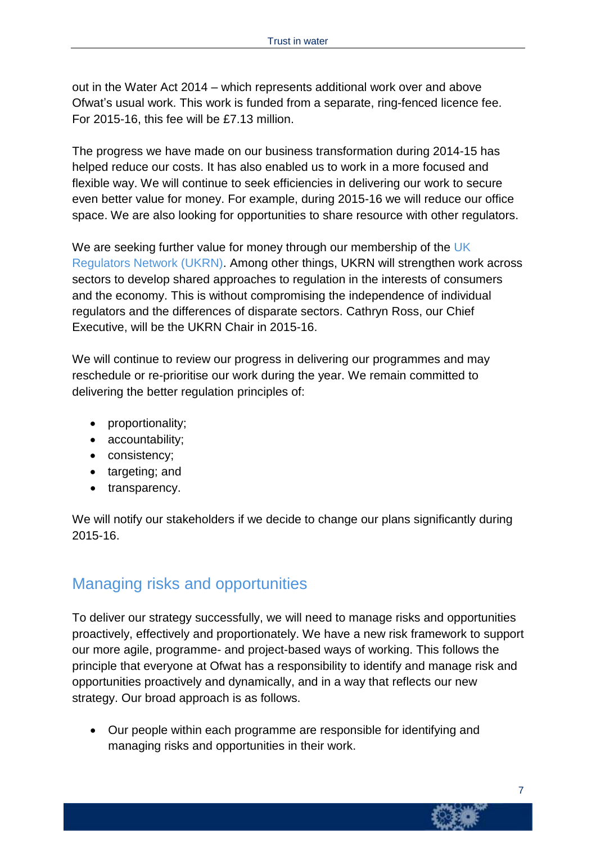out in the Water Act 2014 – which represents additional work over and above Ofwat's usual work. This work is funded from a separate, ring-fenced licence fee. For 2015-16, this fee will be £7.13 million.

The progress we have made on our business transformation during 2014-15 has helped reduce our costs. It has also enabled us to work in a more focused and flexible way. We will continue to seek efficiencies in delivering our work to secure even better value for money. For example, during 2015-16 we will reduce our office space. We are also looking for opportunities to share resource with other regulators.

We are seeking further value for money through our membership of the [UK](http://www.ukrn.org.uk/) [Regulators](http://www.ukrn.org.uk/) Network (UKRN). Among other things, UKRN will strengthen work across sectors to develop shared approaches to regulation in the interests of consumers and the economy. This is without compromising the independence of individual regulators and the differences of disparate sectors. Cathryn Ross, our Chief Executive, will be the UKRN Chair in 2015-16.

We will continue to review our progress in delivering our programmes and may reschedule or re-prioritise our work during the year. We remain committed to delivering the better regulation principles of:

- proportionality;
- accountability;
- consistency;
- targeting; and
- transparency.

We will notify our stakeholders if we decide to change our plans significantly during 2015-16.

### Managing risks and opportunities

To deliver our strategy successfully, we will need to manage risks and opportunities proactively, effectively and proportionately. We have a new risk framework to support our more agile, programme- and project-based ways of working. This follows the principle that everyone at Ofwat has a responsibility to identify and manage risk and opportunities proactively and dynamically, and in a way that reflects our new strategy. Our broad approach is as follows.

 Our people within each programme are responsible for identifying and managing risks and opportunities in their work.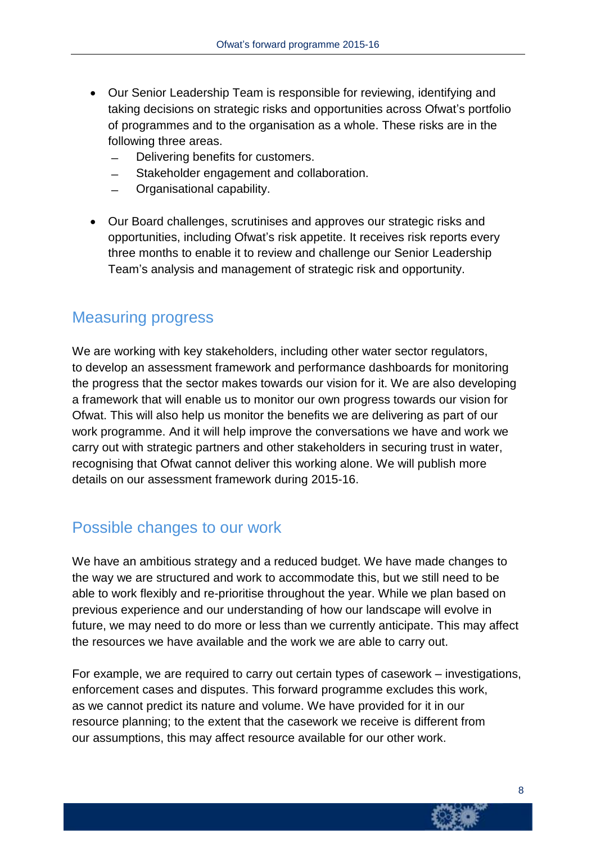- Our Senior Leadership Team is responsible for reviewing, identifying and taking decisions on strategic risks and opportunities across Ofwat's portfolio of programmes and to the organisation as a whole. These risks are in the following three areas.
	- Delivering benefits for customers.
	- Stakeholder engagement and collaboration.
	- ̶ Organisational capability.
- Our Board challenges, scrutinises and approves our strategic risks and opportunities, including Ofwat's risk appetite. It receives risk reports every three months to enable it to review and challenge our Senior Leadership Team's analysis and management of strategic risk and opportunity.

### Measuring progress

We are working with key stakeholders, including other water sector regulators, to develop an assessment framework and performance dashboards for monitoring the progress that the sector makes towards our vision for it. We are also developing a framework that will enable us to monitor our own progress towards our vision for Ofwat. This will also help us monitor the benefits we are delivering as part of our work programme. And it will help improve the conversations we have and work we carry out with strategic partners and other stakeholders in securing trust in water, recognising that Ofwat cannot deliver this working alone. We will publish more details on our assessment framework during 2015-16.

### Possible changes to our work

We have an ambitious strategy and a reduced budget. We have made changes to the way we are structured and work to accommodate this, but we still need to be able to work flexibly and re-prioritise throughout the year. While we plan based on previous experience and our understanding of how our landscape will evolve in future, we may need to do more or less than we currently anticipate. This may affect the resources we have available and the work we are able to carry out.

For example, we are required to carry out certain types of casework – investigations, enforcement cases and disputes. This forward programme excludes this work, as we cannot predict its nature and volume. We have provided for it in our resource planning; to the extent that the casework we receive is different from our assumptions, this may affect resource available for our other work.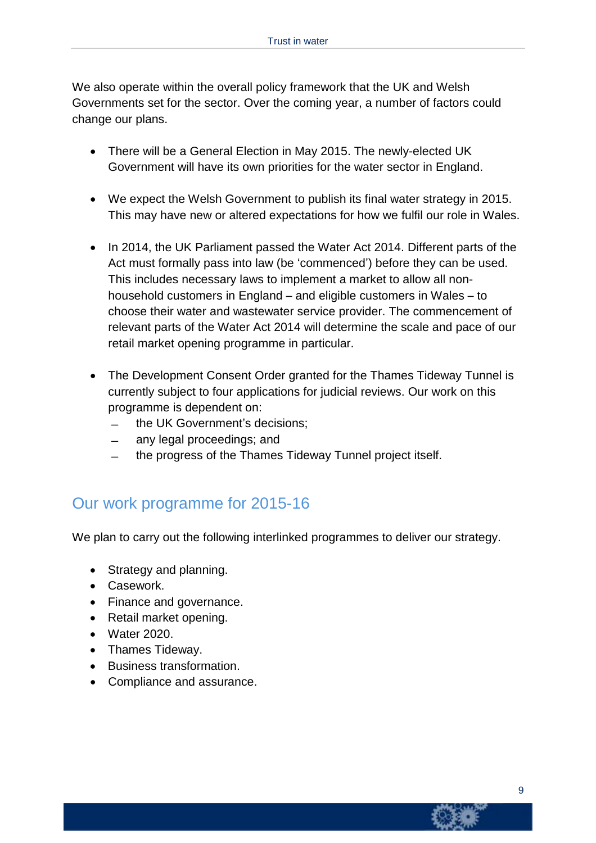We also operate within the overall policy framework that the UK and Welsh Governments set for the sector. Over the coming year, a number of factors could change our plans.

- There will be a General Election in May 2015. The newly-elected UK Government will have its own priorities for the water sector in England.
- We expect the Welsh Government to publish its final water strategy in 2015. This may have new or altered expectations for how we fulfil our role in Wales.
- In 2014, the UK Parliament passed the Water Act 2014. Different parts of the Act must formally pass into law (be 'commenced') before they can be used. This includes necessary laws to implement a market to allow all nonhousehold customers in England – and eligible customers in Wales – to choose their water and wastewater service provider. The commencement of relevant parts of the Water Act 2014 will determine the scale and pace of our retail market opening programme in particular.
- The Development Consent Order granted for the Thames Tideway Tunnel is currently subject to four applications for judicial reviews. Our work on this programme is dependent on:
	- ̶ the UK Government's decisions;
	- ̶ any legal proceedings; and
	- ̶ the progress of the Thames Tideway Tunnel project itself.

### Our work programme for 2015-16

We plan to carry out the following interlinked programmes to deliver our strategy.

- Strategy and planning.
- Casework.
- Finance and governance.
- Retail market opening.
- Water 2020.
- Thames Tideway.
- Business transformation.
- Compliance and assurance.

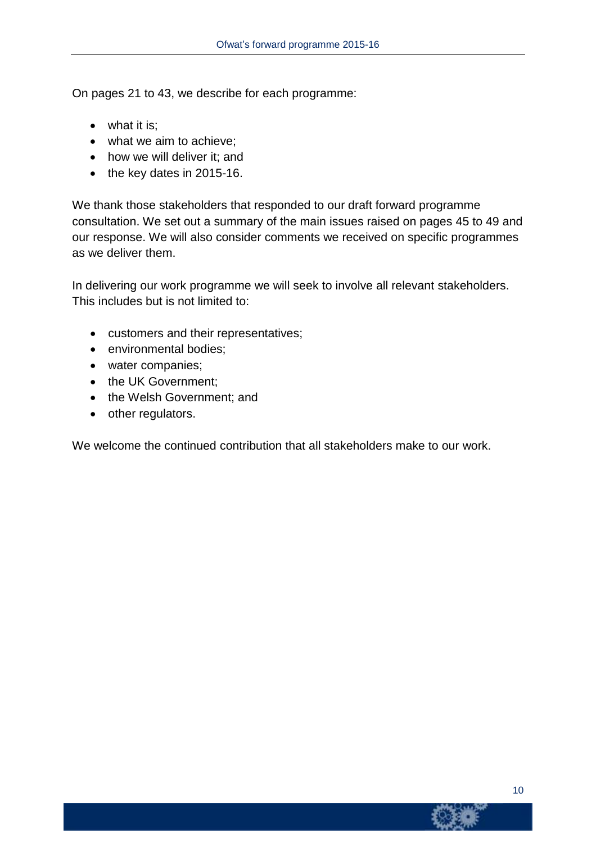On pages 21 to 43, we describe for each programme:

- what it is;
- what we aim to achieve;
- how we will deliver it; and
- $\bullet$  the key dates in 2015-16.

We thank those stakeholders that responded to our draft forward programme consultation. We set out a summary of the main issues raised on pages 45 to 49 and our response. We will also consider comments we received on specific programmes as we deliver them.

In delivering our work programme we will seek to involve all relevant stakeholders. This includes but is not limited to:

- customers and their representatives;
- environmental bodies;
- water companies;
- the UK Government;
- the Welsh Government; and
- other regulators.

We welcome the continued contribution that all stakeholders make to our work.

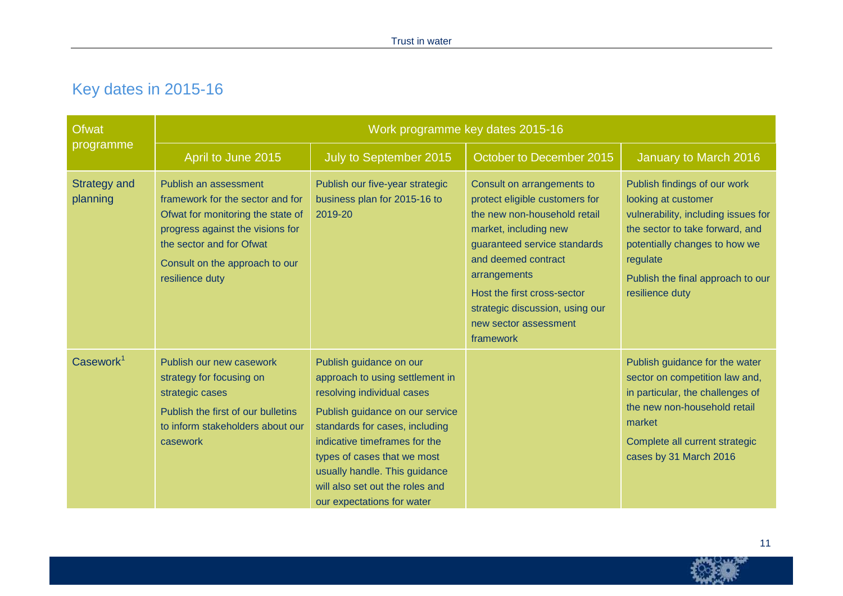# Key dates in 2015-16

| <b>Ofwat</b>                    | Work programme key dates 2015-16                                                                                                                                                                                    |                                                                                                                                                                                                                                                                                                                                 |                                                                                                                                                                                                                                                                                                      |                                                                                                                                                                                                                                    |  |  |  |  |  |
|---------------------------------|---------------------------------------------------------------------------------------------------------------------------------------------------------------------------------------------------------------------|---------------------------------------------------------------------------------------------------------------------------------------------------------------------------------------------------------------------------------------------------------------------------------------------------------------------------------|------------------------------------------------------------------------------------------------------------------------------------------------------------------------------------------------------------------------------------------------------------------------------------------------------|------------------------------------------------------------------------------------------------------------------------------------------------------------------------------------------------------------------------------------|--|--|--|--|--|
| programme                       | April to June 2015                                                                                                                                                                                                  | July to September 2015                                                                                                                                                                                                                                                                                                          | October to December 2015                                                                                                                                                                                                                                                                             | January to March 2016                                                                                                                                                                                                              |  |  |  |  |  |
| <b>Strategy and</b><br>planning | Publish an assessment<br>framework for the sector and for<br>Ofwat for monitoring the state of<br>progress against the visions for<br>the sector and for Ofwat<br>Consult on the approach to our<br>resilience duty | Publish our five-year strategic<br>business plan for 2015-16 to<br>2019-20                                                                                                                                                                                                                                                      | Consult on arrangements to<br>protect eligible customers for<br>the new non-household retail<br>market, including new<br>guaranteed service standards<br>and deemed contract<br>arrangements<br>Host the first cross-sector<br>strategic discussion, using our<br>new sector assessment<br>framework | Publish findings of our work<br>looking at customer<br>vulnerability, including issues for<br>the sector to take forward, and<br>potentially changes to how we<br>regulate<br>Publish the final approach to our<br>resilience duty |  |  |  |  |  |
| Casework <sup>1</sup>           | Publish our new casework<br>strategy for focusing on<br>strategic cases<br>Publish the first of our bulletins<br>to inform stakeholders about our<br>casework                                                       | Publish guidance on our<br>approach to using settlement in<br>resolving individual cases<br>Publish guidance on our service<br>standards for cases, including<br>indicative timeframes for the<br>types of cases that we most<br>usually handle. This guidance<br>will also set out the roles and<br>our expectations for water |                                                                                                                                                                                                                                                                                                      | Publish guidance for the water<br>sector on competition law and,<br>in particular, the challenges of<br>the new non-household retail<br>market<br>Complete all current strategic<br>cases by 31 March 2016                         |  |  |  |  |  |



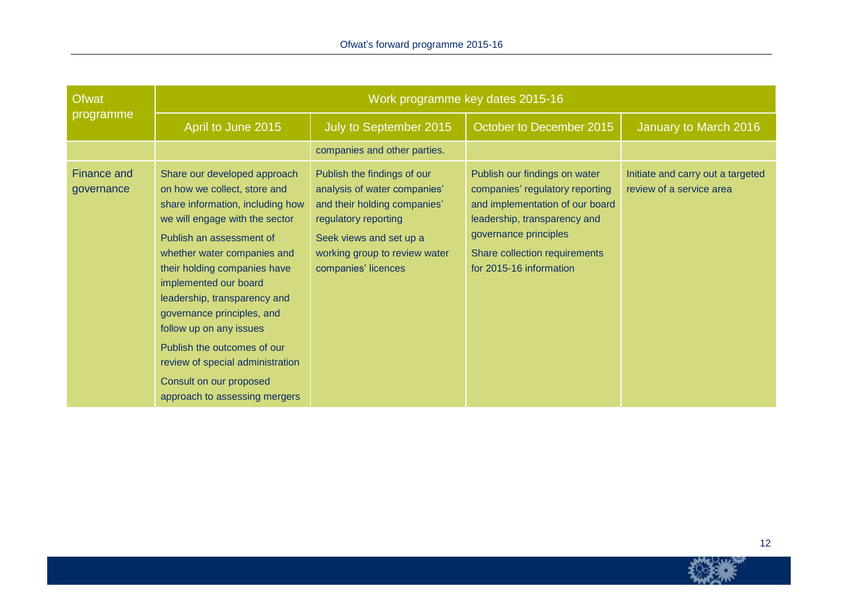| <b>Ofwat</b>              | Work programme key dates 2015-16                                                                                                                                                                                                                                                                                                                                                                                                                                               |                                                                                                                                                                                                        |                                                                                                                                                                                                                          |                                                               |  |  |  |  |  |
|---------------------------|--------------------------------------------------------------------------------------------------------------------------------------------------------------------------------------------------------------------------------------------------------------------------------------------------------------------------------------------------------------------------------------------------------------------------------------------------------------------------------|--------------------------------------------------------------------------------------------------------------------------------------------------------------------------------------------------------|--------------------------------------------------------------------------------------------------------------------------------------------------------------------------------------------------------------------------|---------------------------------------------------------------|--|--|--|--|--|
| programme                 | April to June 2015                                                                                                                                                                                                                                                                                                                                                                                                                                                             | July to September 2015                                                                                                                                                                                 | October to December 2015                                                                                                                                                                                                 | January to March 2016                                         |  |  |  |  |  |
|                           |                                                                                                                                                                                                                                                                                                                                                                                                                                                                                | companies and other parties.                                                                                                                                                                           |                                                                                                                                                                                                                          |                                                               |  |  |  |  |  |
| Finance and<br>governance | Share our developed approach<br>on how we collect, store and<br>share information, including how<br>we will engage with the sector<br>Publish an assessment of<br>whether water companies and<br>their holding companies have<br>implemented our board<br>leadership, transparency and<br>governance principles, and<br>follow up on any issues<br>Publish the outcomes of our<br>review of special administration<br>Consult on our proposed<br>approach to assessing mergers | Publish the findings of our<br>analysis of water companies'<br>and their holding companies'<br>regulatory reporting<br>Seek views and set up a<br>working group to review water<br>companies' licences | Publish our findings on water<br>companies' regulatory reporting<br>and implementation of our board<br>leadership, transparency and<br>governance principles<br>Share collection requirements<br>for 2015-16 information | Initiate and carry out a targeted<br>review of a service area |  |  |  |  |  |

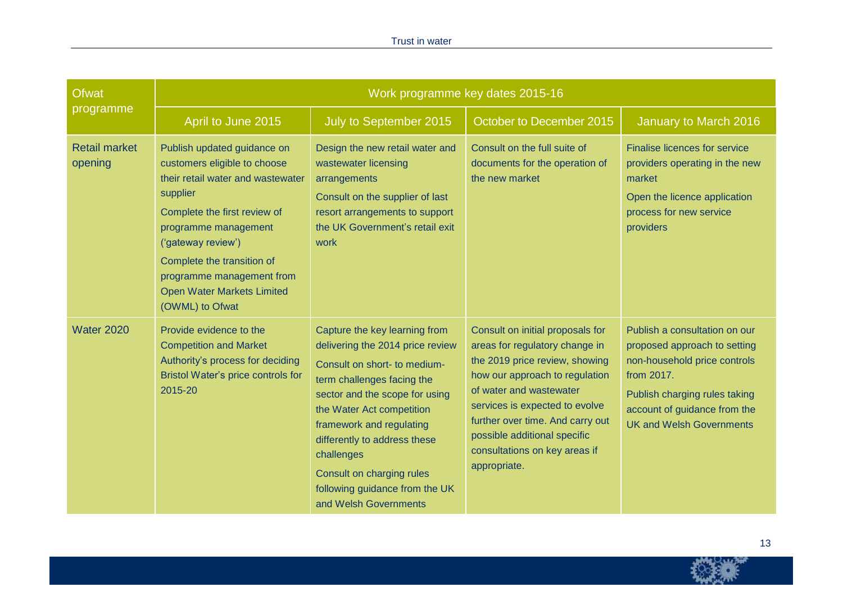#### Trust in water

| <b>Ofwat</b>                    | Work programme key dates 2015-16                                                                                                                                                                                                                                                                              |                                                                                                                                                                                                                                                                                                                                                                  |                                                                                                                                                                                                                                                                                                                          |                                                                                                                                                                                                                 |  |  |  |  |  |
|---------------------------------|---------------------------------------------------------------------------------------------------------------------------------------------------------------------------------------------------------------------------------------------------------------------------------------------------------------|------------------------------------------------------------------------------------------------------------------------------------------------------------------------------------------------------------------------------------------------------------------------------------------------------------------------------------------------------------------|--------------------------------------------------------------------------------------------------------------------------------------------------------------------------------------------------------------------------------------------------------------------------------------------------------------------------|-----------------------------------------------------------------------------------------------------------------------------------------------------------------------------------------------------------------|--|--|--|--|--|
| programme                       | April to June 2015                                                                                                                                                                                                                                                                                            | July to September 2015                                                                                                                                                                                                                                                                                                                                           | October to December 2015                                                                                                                                                                                                                                                                                                 | January to March 2016                                                                                                                                                                                           |  |  |  |  |  |
| <b>Retail market</b><br>opening | Publish updated guidance on<br>customers eligible to choose<br>their retail water and wastewater<br>supplier<br>Complete the first review of<br>programme management<br>('gateway review')<br>Complete the transition of<br>programme management from<br><b>Open Water Markets Limited</b><br>(OWML) to Ofwat | Design the new retail water and<br>wastewater licensing<br>arrangements<br>Consult on the supplier of last<br>resort arrangements to support<br>the UK Government's retail exit<br>work                                                                                                                                                                          | Consult on the full suite of<br>documents for the operation of<br>the new market                                                                                                                                                                                                                                         | <b>Finalise licences for service</b><br>providers operating in the new<br>market<br>Open the licence application<br>process for new service<br>providers                                                        |  |  |  |  |  |
| <b>Water 2020</b>               | Provide evidence to the<br><b>Competition and Market</b><br>Authority's process for deciding<br>Bristol Water's price controls for<br>2015-20                                                                                                                                                                 | Capture the key learning from<br>delivering the 2014 price review<br>Consult on short- to medium-<br>term challenges facing the<br>sector and the scope for using<br>the Water Act competition<br>framework and regulating<br>differently to address these<br>challenges<br>Consult on charging rules<br>following guidance from the UK<br>and Welsh Governments | Consult on initial proposals for<br>areas for regulatory change in<br>the 2019 price review, showing<br>how our approach to regulation<br>of water and wastewater<br>services is expected to evolve<br>further over time. And carry out<br>possible additional specific<br>consultations on key areas if<br>appropriate. | Publish a consultation on our<br>proposed approach to setting<br>non-household price controls<br>from 2017.<br>Publish charging rules taking<br>account of guidance from the<br><b>UK and Welsh Governments</b> |  |  |  |  |  |

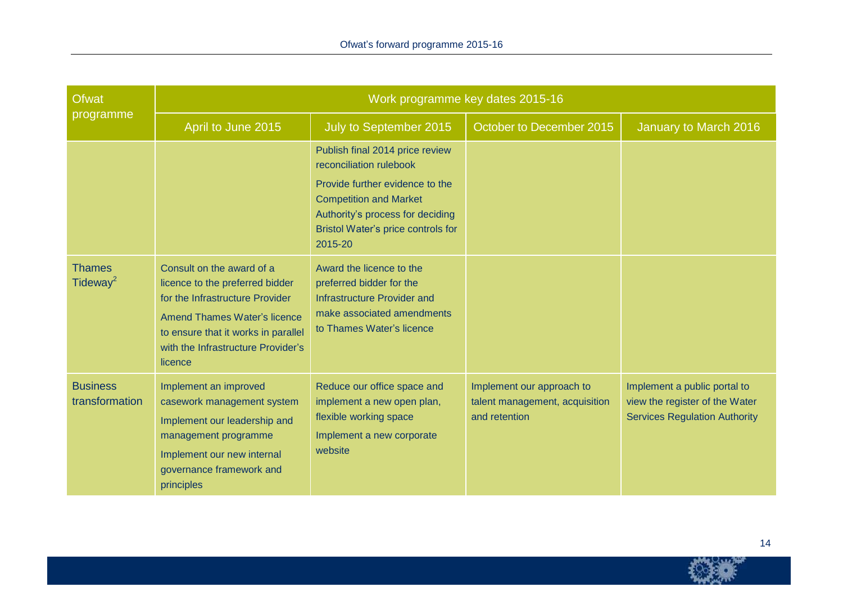| <b>Ofwat</b>                          | Work programme key dates 2015-16                                                                                                                                                                                               |                                                                                                                                                                                                                     |                                                                              |                                                                                                        |  |  |  |  |  |
|---------------------------------------|--------------------------------------------------------------------------------------------------------------------------------------------------------------------------------------------------------------------------------|---------------------------------------------------------------------------------------------------------------------------------------------------------------------------------------------------------------------|------------------------------------------------------------------------------|--------------------------------------------------------------------------------------------------------|--|--|--|--|--|
| programme                             | April to June 2015                                                                                                                                                                                                             | July to September 2015                                                                                                                                                                                              | October to December 2015                                                     | January to March 2016                                                                                  |  |  |  |  |  |
|                                       |                                                                                                                                                                                                                                | Publish final 2014 price review<br>reconciliation rulebook<br>Provide further evidence to the<br><b>Competition and Market</b><br>Authority's process for deciding<br>Bristol Water's price controls for<br>2015-20 |                                                                              |                                                                                                        |  |  |  |  |  |
| <b>Thames</b><br>Tideway <sup>2</sup> | Consult on the award of a<br>licence to the preferred bidder<br>for the Infrastructure Provider<br><b>Amend Thames Water's licence</b><br>to ensure that it works in parallel<br>with the Infrastructure Provider's<br>licence | Award the licence to the<br>preferred bidder for the<br><b>Infrastructure Provider and</b><br>make associated amendments<br>to Thames Water's licence                                                               |                                                                              |                                                                                                        |  |  |  |  |  |
| <b>Business</b><br>transformation     | Implement an improved<br>casework management system<br>Implement our leadership and<br>management programme<br>Implement our new internal<br>governance framework and<br>principles                                            | Reduce our office space and<br>implement a new open plan,<br>flexible working space<br>Implement a new corporate<br>website                                                                                         | Implement our approach to<br>talent management, acquisition<br>and retention | Implement a public portal to<br>view the register of the Water<br><b>Services Regulation Authority</b> |  |  |  |  |  |

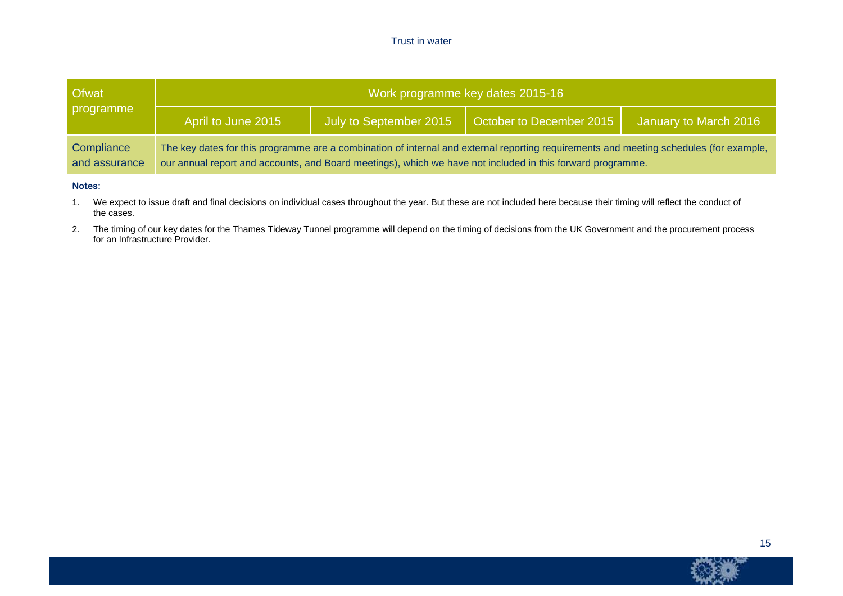| <b>Ofwat</b>                | Work programme key dates 2015-16 |  |                                                                                                                                                                                                                                                      |                       |  |  |  |  |  |
|-----------------------------|----------------------------------|--|------------------------------------------------------------------------------------------------------------------------------------------------------------------------------------------------------------------------------------------------------|-----------------------|--|--|--|--|--|
| programme                   | April to June 2015               |  | July to September 2015   October to December 2015                                                                                                                                                                                                    | January to March 2016 |  |  |  |  |  |
| Compliance<br>and assurance |                                  |  | The key dates for this programme are a combination of internal and external reporting requirements and meeting schedules (for example,<br>our annual report and accounts, and Board meetings), which we have not included in this forward programme. |                       |  |  |  |  |  |

#### **Notes:**

1. We expect to issue draft and final decisions on individual cases throughout the year. But these are not included here because their timing will reflect the conduct of the cases.

2. The timing of our key dates for the Thames Tideway Tunnel programme will depend on the timing of decisions from the UK Government and the procurement process for an Infrastructure Provider.



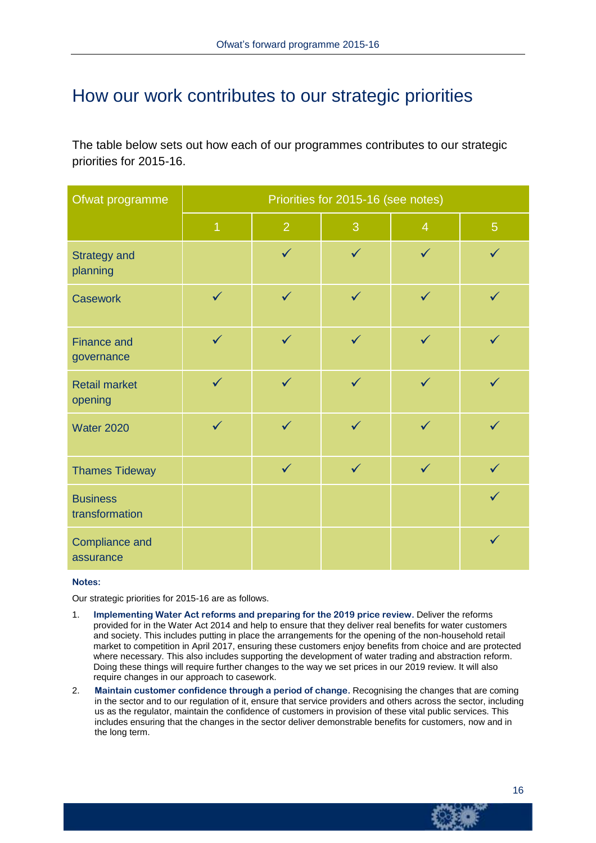# How our work contributes to our strategic priorities

The table below sets out how each of our programmes contributes to our strategic priorities for 2015-16.

| Ofwat programme                    | Priorities for 2015-16 (see notes) |                |              |                |                |  |  |  |
|------------------------------------|------------------------------------|----------------|--------------|----------------|----------------|--|--|--|
|                                    | $\overline{1}$                     | $\overline{2}$ | 3            | $\overline{4}$ | $\overline{5}$ |  |  |  |
| <b>Strategy and</b><br>planning    |                                    | $\checkmark$   | $\checkmark$ | $\checkmark$   | $\checkmark$   |  |  |  |
| <b>Casework</b>                    | $\checkmark$                       | $\checkmark$   | $\checkmark$ | $\checkmark$   | $\checkmark$   |  |  |  |
| <b>Finance and</b><br>governance   | $\checkmark$                       | $\checkmark$   | $\checkmark$ | $\checkmark$   | $\checkmark$   |  |  |  |
| <b>Retail market</b><br>opening    | $\checkmark$                       | $\checkmark$   | $\checkmark$ | $\checkmark$   | $\checkmark$   |  |  |  |
| <b>Water 2020</b>                  | $\checkmark$                       | $\checkmark$   | $\checkmark$ | $\checkmark$   | $\checkmark$   |  |  |  |
| <b>Thames Tideway</b>              |                                    | $\checkmark$   | $\checkmark$ | $\checkmark$   | $\checkmark$   |  |  |  |
| <b>Business</b><br>transformation  |                                    |                |              |                | $\checkmark$   |  |  |  |
| <b>Compliance and</b><br>assurance |                                    |                |              |                | $\checkmark$   |  |  |  |

#### **Notes:**

Our strategic priorities for 2015-16 are as follows.

- 1. **Implementing Water Act reforms and preparing for the 2019 price review.** Deliver the reforms provided for in the Water Act 2014 and help to ensure that they deliver real benefits for water customers and society. This includes putting in place the arrangements for the opening of the non-household retail market to competition in April 2017, ensuring these customers enjoy benefits from choice and are protected where necessary. This also includes supporting the development of water trading and abstraction reform. Doing these things will require further changes to the way we set prices in our 2019 review. It will also require changes in our approach to casework.
- 2. **Maintain customer confidence through a period of change.** Recognising the changes that are coming in the sector and to our regulation of it, ensure that service providers and others across the sector, including us as the regulator, maintain the confidence of customers in provision of these vital public services. This includes ensuring that the changes in the sector deliver demonstrable benefits for customers, now and in the long term.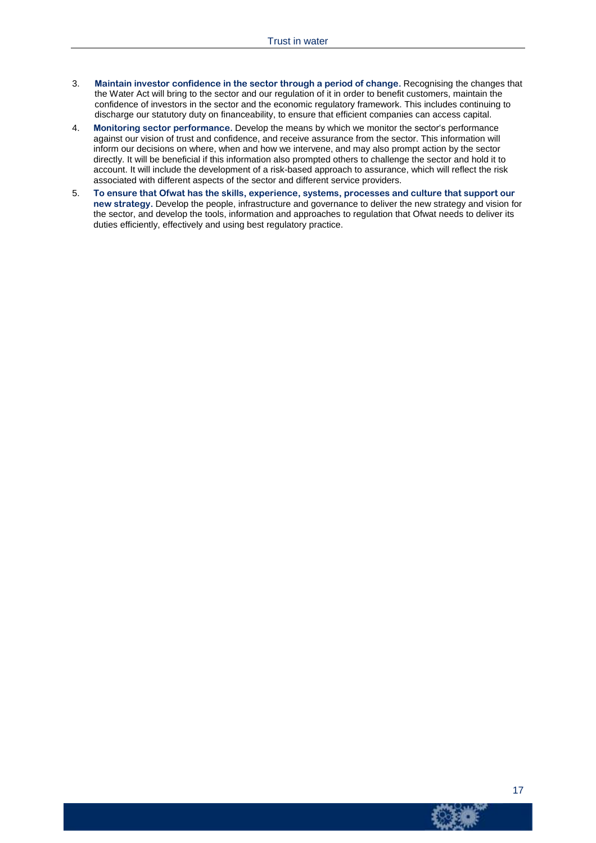- 3. **Maintain investor confidence in the sector through a period of change.** Recognising the changes that the Water Act will bring to the sector and our regulation of it in order to benefit customers, maintain the confidence of investors in the sector and the economic regulatory framework. This includes continuing to discharge our statutory duty on financeability, to ensure that efficient companies can access capital.
- 4. **Monitoring sector performance.** Develop the means by which we monitor the sector's performance against our vision of trust and confidence, and receive assurance from the sector. This information will inform our decisions on where, when and how we intervene, and may also prompt action by the sector directly. It will be beneficial if this information also prompted others to challenge the sector and hold it to account. It will include the development of a risk-based approach to assurance, which will reflect the risk associated with different aspects of the sector and different service providers.
- 5. **To ensure that Ofwat has the skills, experience, systems, processes and culture that support our new strategy.** Develop the people, infrastructure and governance to deliver the new strategy and vision for the sector, and develop the tools, information and approaches to regulation that Ofwat needs to deliver its duties efficiently, effectively and using best regulatory practice.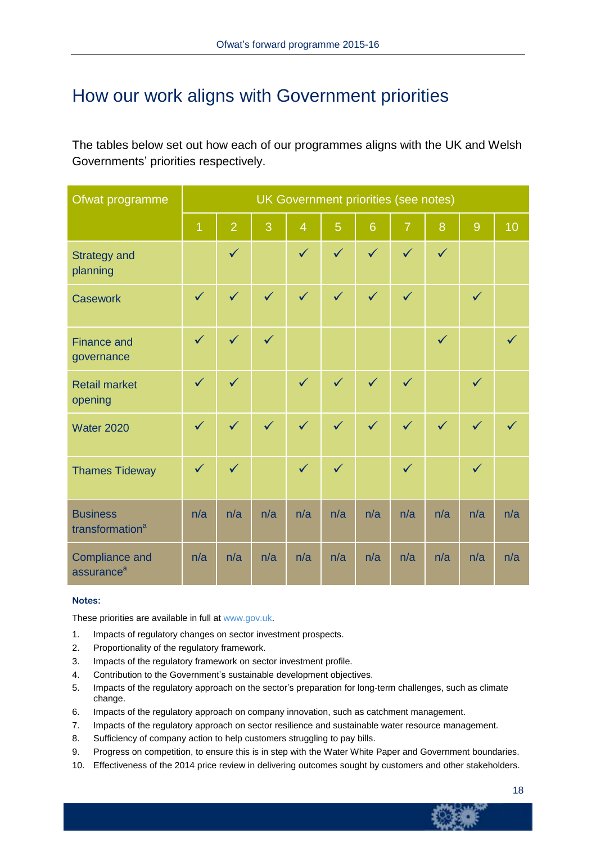# How our work aligns with Government priorities

The tables below set out how each of our programmes aligns with the UK and Welsh Governments' priorities respectively.

| Ofwat programme                                 | UK Government priorities (see notes) |                |              |                |              |                 |                |              |              |     |
|-------------------------------------------------|--------------------------------------|----------------|--------------|----------------|--------------|-----------------|----------------|--------------|--------------|-----|
|                                                 | $\overline{1}$                       | $\overline{2}$ | 3            | $\overline{4}$ | 5            | $6\phantom{1}6$ | $\overline{7}$ | 8            | 9            | 10  |
| <b>Strategy and</b><br>planning                 |                                      | $\checkmark$   |              | $\checkmark$   | $\checkmark$ | $\checkmark$    | $\checkmark$   | $\checkmark$ |              |     |
| <b>Casework</b>                                 | $\checkmark$                         | $\checkmark$   | $\checkmark$ | $\checkmark$   | $\checkmark$ | $\checkmark$    | $\checkmark$   |              | $\checkmark$ |     |
| <b>Finance and</b><br>governance                | $\checkmark$                         | $\checkmark$   | $\checkmark$ |                |              |                 |                | $\checkmark$ |              |     |
| <b>Retail market</b><br>opening                 | $\checkmark$                         | $\checkmark$   |              | $\checkmark$   | $\checkmark$ | $\checkmark$    | $\checkmark$   |              | $\checkmark$ |     |
| <b>Water 2020</b>                               | $\checkmark$                         | $\checkmark$   | $\checkmark$ | $\checkmark$   | $\checkmark$ | $\checkmark$    | $\sqrt{}$      | $\checkmark$ | $\checkmark$ |     |
| <b>Thames Tideway</b>                           | $\checkmark$                         | $\checkmark$   |              | $\checkmark$   | $\checkmark$ |                 | $\checkmark$   |              | $\checkmark$ |     |
| <b>Business</b><br>transformation <sup>a</sup>  | n/a                                  | n/a            | n/a          | n/a            | n/a          | n/a             | n/a            | n/a          | n/a          | n/a |
| <b>Compliance and</b><br>assurance <sup>a</sup> | n/a                                  | n/a            | n/a          | n/a            | n/a          | n/a             | n/a            | n/a          | n/a          | n/a |

#### **Notes:**

These priorities are available in full at [www.gov.uk.](https://www.gov.uk/government/uploads/system/uploads/attachment_data/file/221043/pb13884-sps-seg-ofwat-201303.pdf)

- 1. Impacts of regulatory changes on sector investment prospects.
- 2. Proportionality of the regulatory framework.
- 3. Impacts of the regulatory framework on sector investment profile.
- 4. Contribution to the Government's sustainable development objectives.
- 5. Impacts of the regulatory approach on the sector's preparation for long-term challenges, such as climate change.
- 6. Impacts of the regulatory approach on company innovation, such as catchment management.
- 7. Impacts of the regulatory approach on sector resilience and sustainable water resource management.
- 8. Sufficiency of company action to help customers struggling to pay bills.
- 9. Progress on competition, to ensure this is in step with the Water White Paper and Government boundaries.
- 10. Effectiveness of the 2014 price review in delivering outcomes sought by customers and other stakeholders.

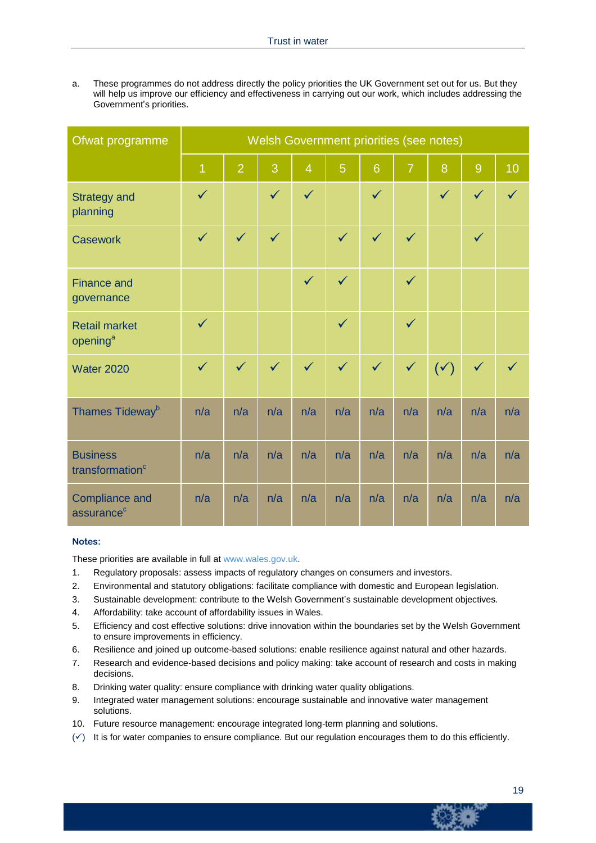a. These programmes do not address directly the policy priorities the UK Government set out for us. But they will help us improve our efficiency and effectiveness in carrying out our work, which includes addressing the Government's priorities.

| Ofwat programme                                 | Welsh Government priorities (see notes) |                |              |                |                |              |                |                |              |              |
|-------------------------------------------------|-----------------------------------------|----------------|--------------|----------------|----------------|--------------|----------------|----------------|--------------|--------------|
|                                                 | $\overline{1}$                          | $\overline{2}$ | 3            | $\overline{4}$ | $\overline{5}$ | 6            | $\overline{7}$ | 8              | 9            | 10           |
| <b>Strategy and</b><br>planning                 | $\checkmark$                            |                | $\checkmark$ | $\checkmark$   |                | $\checkmark$ |                | $\checkmark$   | $\checkmark$ | $\checkmark$ |
| <b>Casework</b>                                 | $\checkmark$                            | $\checkmark$   | $\checkmark$ |                | $\checkmark$   | $\checkmark$ | $\checkmark$   |                | $\checkmark$ |              |
| <b>Finance and</b><br>governance                |                                         |                |              | $\checkmark$   | $\checkmark$   |              | $\checkmark$   |                |              |              |
| <b>Retail market</b><br>opening <sup>a</sup>    | $\checkmark$                            |                |              |                | $\checkmark$   |              | $\checkmark$   |                |              |              |
| <b>Water 2020</b>                               | $\checkmark$                            | $\checkmark$   | $\checkmark$ | $\checkmark$   | $\checkmark$   | $\checkmark$ | $\checkmark$   | $(\checkmark)$ | $\checkmark$ |              |
| Thames Tideway <sup>b</sup>                     | n/a                                     | n/a            | n/a          | n/a            | n/a            | n/a          | n/a            | n/a            | n/a          | n/a          |
| <b>Business</b><br>transformation <sup>c</sup>  | n/a                                     | n/a            | n/a          | n/a            | n/a            | n/a          | n/a            | n/a            | n/a          | n/a          |
| <b>Compliance and</b><br>assurance <sup>c</sup> | n/a                                     | n/a            | n/a          | n/a            | n/a            | n/a          | n/a            | n/a            | n/a          | n/a          |

#### **Notes:**

These priorities are available in full at [www.wales.gov.uk.](http://wales.gov.uk/topics/environmentcountryside/epq/waterflooding/publications/social-environmental-guidance-water/?lang=en)

- 1. Regulatory proposals: assess impacts of regulatory changes on consumers and investors.
- 2. Environmental and statutory obligations: facilitate compliance with domestic and European legislation.
- 3. Sustainable development: contribute to the Welsh Government's sustainable development objectives.
- 4. Affordability: take account of affordability issues in Wales.
- 5. Efficiency and cost effective solutions: drive innovation within the boundaries set by the Welsh Government to ensure improvements in efficiency.
- 6. Resilience and joined up outcome-based solutions: enable resilience against natural and other hazards.
- 7. Research and evidence-based decisions and policy making: take account of research and costs in making decisions.
- 8. Drinking water quality: ensure compliance with drinking water quality obligations.
- 9. Integrated water management solutions: encourage sustainable and innovative water management solutions.
- 10. Future resource management: encourage integrated long-term planning and solutions.
- $(\check{y})$  It is for water companies to ensure compliance. But our regulation encourages them to do this efficiently.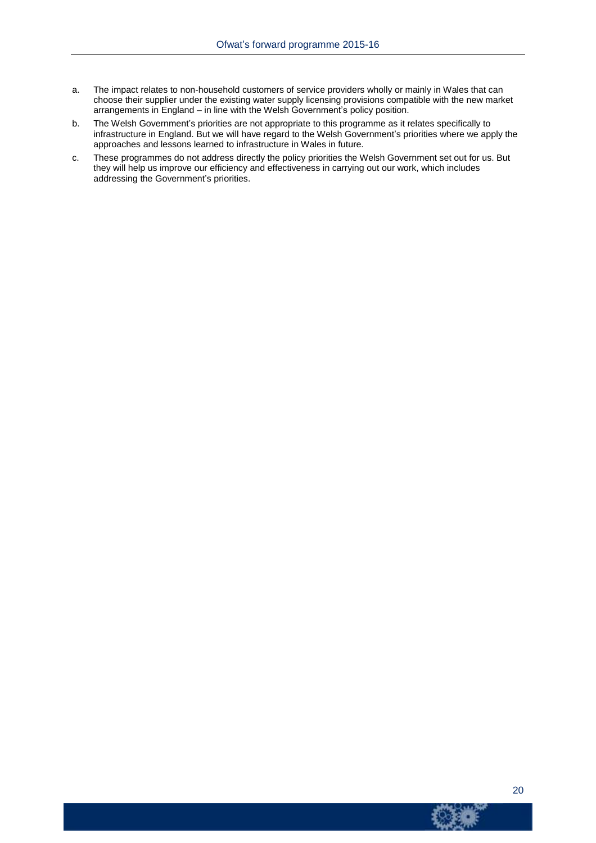- a. The impact relates to non-household customers of service providers wholly or mainly in Wales that can choose their supplier under the existing water supply licensing provisions compatible with the new market arrangements in England – in line with the Welsh Government's policy position.
- b. The Welsh Government's priorities are not appropriate to this programme as it relates specifically to infrastructure in England. But we will have regard to the Welsh Government's priorities where we apply the approaches and lessons learned to infrastructure in Wales in future.
- c. These programmes do not address directly the policy priorities the Welsh Government set out for us. But they will help us improve our efficiency and effectiveness in carrying out our work, which includes addressing the Government's priorities.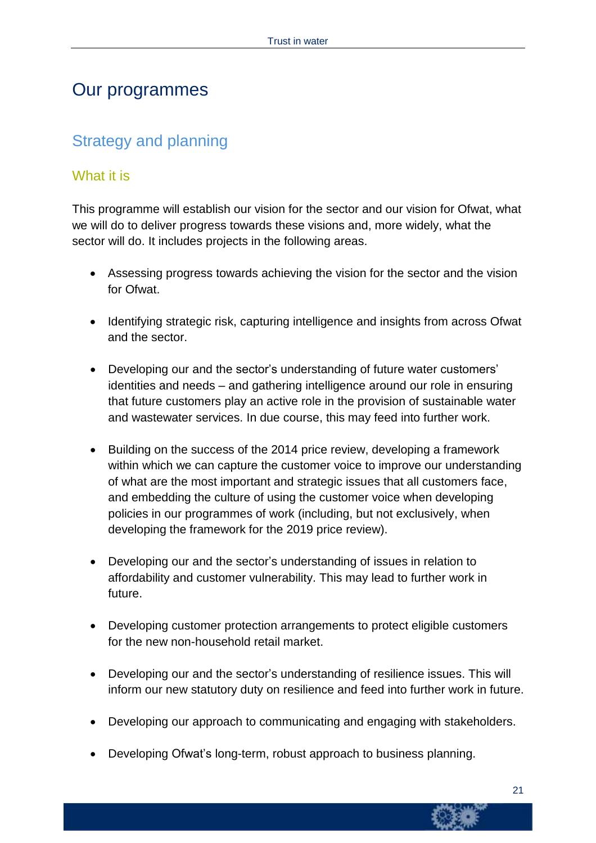### Our programmes

### Strategy and planning

### What it is

This programme will establish our vision for the sector and our vision for Ofwat, what we will do to deliver progress towards these visions and, more widely, what the sector will do. It includes projects in the following areas.

- Assessing progress towards achieving the vision for the sector and the vision for Ofwat.
- Identifying strategic risk, capturing intelligence and insights from across Ofwat and the sector.
- Developing our and the sector's understanding of future water customers' identities and needs – and gathering intelligence around our role in ensuring that future customers play an active role in the provision of sustainable water and wastewater services. In due course, this may feed into further work.
- Building on the success of the 2014 price review, developing a framework within which we can capture the customer voice to improve our understanding of what are the most important and strategic issues that all customers face, and embedding the culture of using the customer voice when developing policies in our programmes of work (including, but not exclusively, when developing the framework for the 2019 price review).
- Developing our and the sector's understanding of issues in relation to affordability and customer vulnerability. This may lead to further work in future.
- Developing customer protection arrangements to protect eligible customers for the new non-household retail market.
- Developing our and the sector's understanding of resilience issues. This will inform our new statutory duty on resilience and feed into further work in future.
- Developing our approach to communicating and engaging with stakeholders.
- Developing Ofwat's long-term, robust approach to business planning.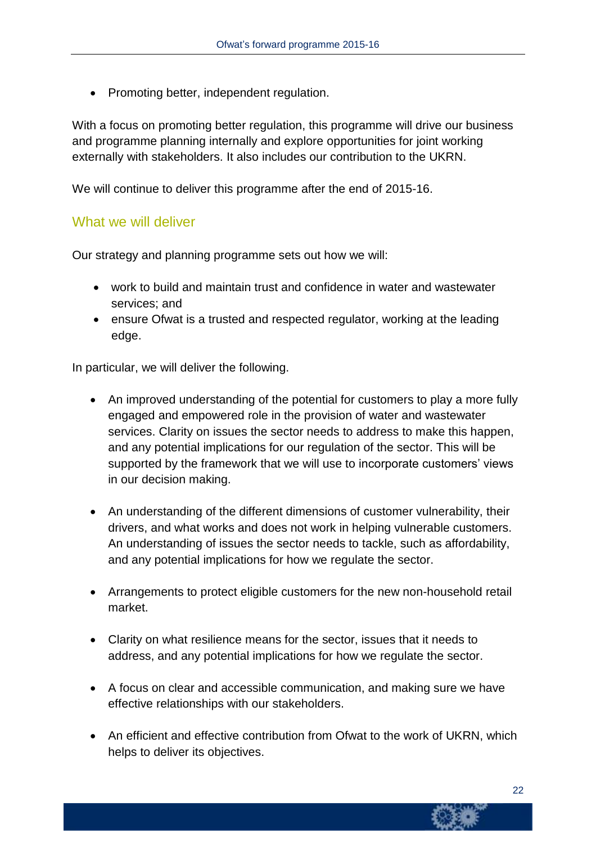• Promoting better, independent regulation.

With a focus on promoting better regulation, this programme will drive our business and programme planning internally and explore opportunities for joint working externally with stakeholders. It also includes our contribution to the UKRN.

We will continue to deliver this programme after the end of 2015-16.

#### What we will deliver

Our strategy and planning programme sets out how we will:

- work to build and maintain trust and confidence in water and wastewater services; and
- ensure Ofwat is a trusted and respected regulator, working at the leading edge.

In particular, we will deliver the following.

- An improved understanding of the potential for customers to play a more fully engaged and empowered role in the provision of water and wastewater services. Clarity on issues the sector needs to address to make this happen, and any potential implications for our regulation of the sector. This will be supported by the framework that we will use to incorporate customers' views in our decision making.
- An understanding of the different dimensions of customer vulnerability, their drivers, and what works and does not work in helping vulnerable customers. An understanding of issues the sector needs to tackle, such as affordability, and any potential implications for how we regulate the sector.
- Arrangements to protect eligible customers for the new non-household retail market.
- Clarity on what resilience means for the sector, issues that it needs to address, and any potential implications for how we regulate the sector.
- A focus on clear and accessible communication, and making sure we have effective relationships with our stakeholders.
- An efficient and effective contribution from Ofwat to the work of UKRN, which helps to deliver its objectives.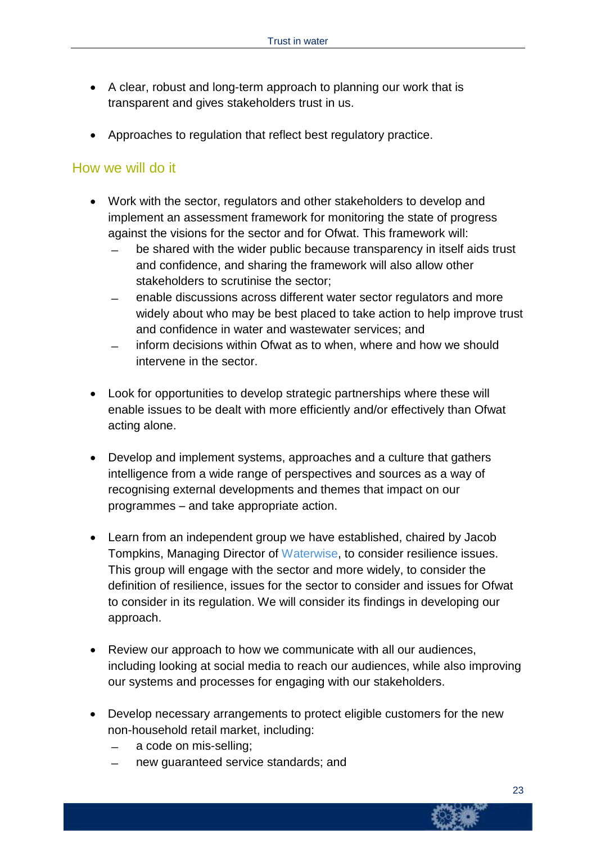- A clear, robust and long-term approach to planning our work that is transparent and gives stakeholders trust in us.
- Approaches to regulation that reflect best regulatory practice.

#### How we will do it

- Work with the sector, regulators and other stakeholders to develop and implement an assessment framework for monitoring the state of progress against the visions for the sector and for Ofwat. This framework will:
	- be shared with the wider public because transparency in itself aids trust and confidence, and sharing the framework will also allow other stakeholders to scrutinise the sector;
	- ̶ enable discussions across different water sector regulators and more widely about who may be best placed to take action to help improve trust and confidence in water and wastewater services; and
	- inform decisions within Ofwat as to when, where and how we should intervene in the sector.
- Look for opportunities to develop strategic partnerships where these will enable issues to be dealt with more efficiently and/or effectively than Ofwat acting alone.
- Develop and implement systems, approaches and a culture that gathers intelligence from a wide range of perspectives and sources as a way of recognising external developments and themes that impact on our programmes – and take appropriate action.
- Learn from an independent group we have established, chaired by Jacob Tompkins, Managing Director of [Waterwise,](http://www.waterwise.org.uk/) to consider resilience issues. This group will engage with the sector and more widely, to consider the definition of resilience, issues for the sector to consider and issues for Ofwat to consider in its regulation. We will consider its findings in developing our approach.
- Review our approach to how we communicate with all our audiences, including looking at social media to reach our audiences, while also improving our systems and processes for engaging with our stakeholders.
- Develop necessary arrangements to protect eligible customers for the new non-household retail market, including:
	- ̶ a code on mis-selling;
	- ̶ new guaranteed service standards; and

23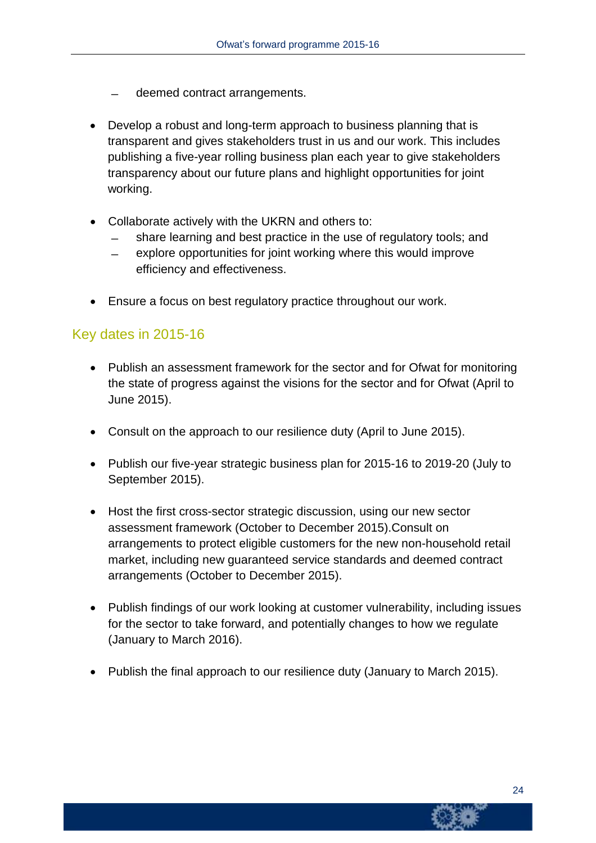- deemed contract arrangements.
- Develop a robust and long-term approach to business planning that is transparent and gives stakeholders trust in us and our work. This includes publishing a five-year rolling business plan each year to give stakeholders transparency about our future plans and highlight opportunities for joint working.
- Collaborate actively with the UKRN and others to:
	- ̶ share learning and best practice in the use of regulatory tools; and
	- ̶ explore opportunities for joint working where this would improve efficiency and effectiveness.
- Ensure a focus on best regulatory practice throughout our work.

#### Key dates in 2015-16

- Publish an assessment framework for the sector and for Ofwat for monitoring the state of progress against the visions for the sector and for Ofwat (April to June 2015).
- Consult on the approach to our resilience duty (April to June 2015).
- Publish our five-year strategic business plan for 2015-16 to 2019-20 (July to September 2015).
- Host the first cross-sector strategic discussion, using our new sector assessment framework (October to December 2015).Consult on arrangements to protect eligible customers for the new non-household retail market, including new guaranteed service standards and deemed contract arrangements (October to December 2015).
- Publish findings of our work looking at customer vulnerability, including issues for the sector to take forward, and potentially changes to how we regulate (January to March 2016).
- Publish the final approach to our resilience duty (January to March 2015).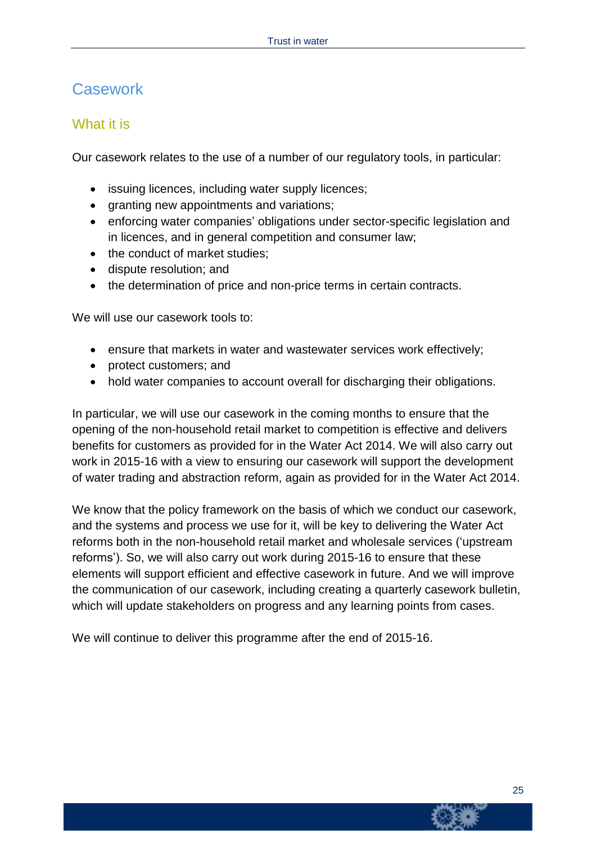### **Casework**

#### What it is

Our casework relates to the use of a number of our regulatory tools, in particular:

- issuing licences, including water supply licences;
- granting new appointments and variations;
- enforcing water companies' obligations under sector-specific legislation and in licences, and in general competition and consumer law;
- the conduct of market studies;
- dispute resolution; and
- the determination of price and non-price terms in certain contracts.

We will use our casework tools to:

- ensure that markets in water and wastewater services work effectively;
- protect customers; and
- hold water companies to account overall for discharging their obligations.

In particular, we will use our casework in the coming months to ensure that the opening of the non-household retail market to competition is effective and delivers benefits for customers as provided for in the Water Act 2014. We will also carry out work in 2015-16 with a view to ensuring our casework will support the development of water trading and abstraction reform, again as provided for in the Water Act 2014.

We know that the policy framework on the basis of which we conduct our casework, and the systems and process we use for it, will be key to delivering the Water Act reforms both in the non-household retail market and wholesale services ('upstream reforms'). So, we will also carry out work during 2015-16 to ensure that these elements will support efficient and effective casework in future. And we will improve the communication of our casework, including creating a quarterly casework bulletin, which will update stakeholders on progress and any learning points from cases.

We will continue to deliver this programme after the end of 2015-16.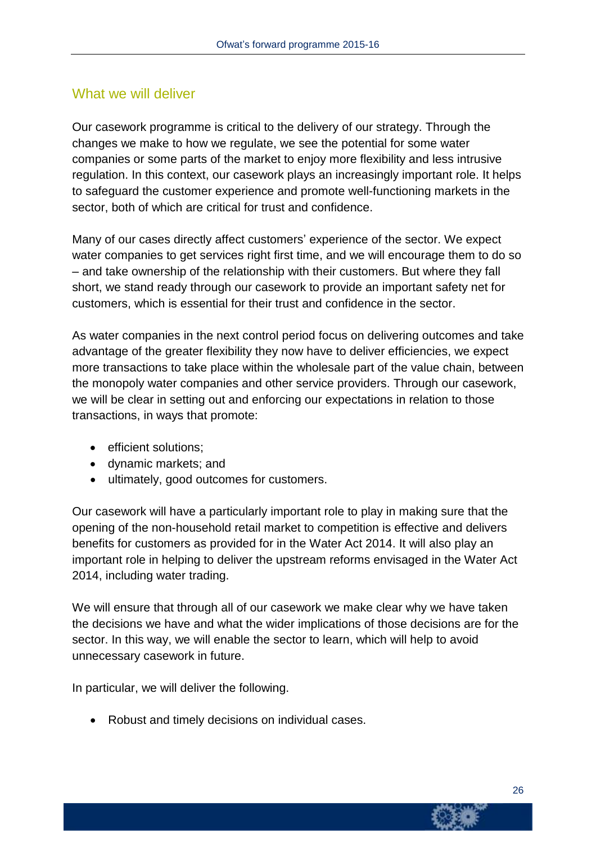#### What we will deliver

Our casework programme is critical to the delivery of our strategy. Through the changes we make to how we regulate, we see the potential for some water companies or some parts of the market to enjoy more flexibility and less intrusive regulation. In this context, our casework plays an increasingly important role. It helps to safeguard the customer experience and promote well-functioning markets in the sector, both of which are critical for trust and confidence.

Many of our cases directly affect customers' experience of the sector. We expect water companies to get services right first time, and we will encourage them to do so – and take ownership of the relationship with their customers. But where they fall short, we stand ready through our casework to provide an important safety net for customers, which is essential for their trust and confidence in the sector.

As water companies in the next control period focus on delivering outcomes and take advantage of the greater flexibility they now have to deliver efficiencies, we expect more transactions to take place within the wholesale part of the value chain, between the monopoly water companies and other service providers. Through our casework, we will be clear in setting out and enforcing our expectations in relation to those transactions, in ways that promote:

- **e** efficient solutions;
- dynamic markets; and
- ultimately, good outcomes for customers.

Our casework will have a particularly important role to play in making sure that the opening of the non-household retail market to competition is effective and delivers benefits for customers as provided for in the Water Act 2014. It will also play an important role in helping to deliver the upstream reforms envisaged in the Water Act 2014, including water trading.

We will ensure that through all of our casework we make clear why we have taken the decisions we have and what the wider implications of those decisions are for the sector. In this way, we will enable the sector to learn, which will help to avoid unnecessary casework in future.

In particular, we will deliver the following.

Robust and timely decisions on individual cases.

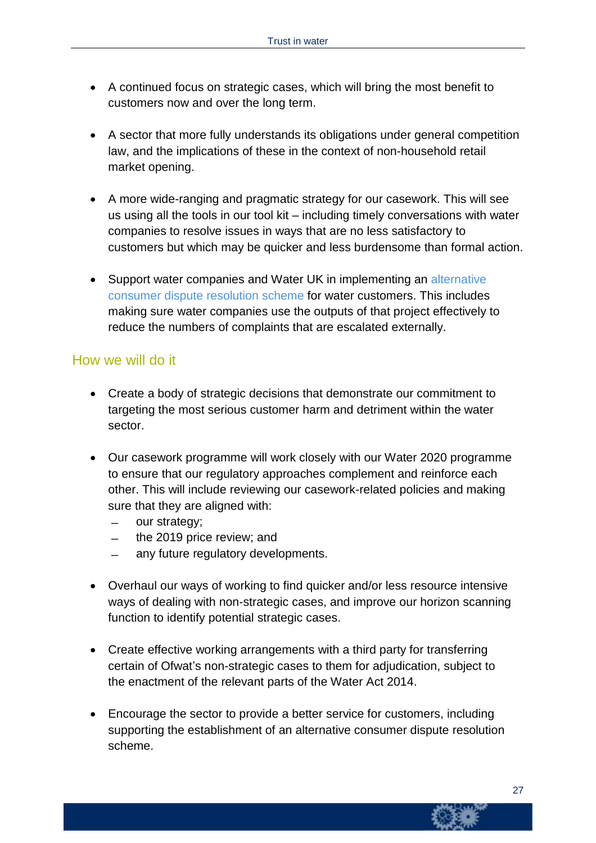- A continued focus on strategic cases, which will bring the most benefit to customers now and over the long term.
- A sector that more fully understands its obligations under general competition law, and the implications of these in the context of non-household retail market opening.
- A more wide-ranging and pragmatic strategy for our casework. This will see us using all the tools in our tool kit – including timely conversations with water companies to resolve issues in ways that are no less satisfactory to customers but which may be quicker and less burdensome than formal action.
- Support water companies and Water UK in implementing an [alternative](http://www.water.org.uk/policy/customers/consumer-dispute-resolution-scheme) [consumer](http://www.water.org.uk/policy/customers/consumer-dispute-resolution-scheme) dispute resolution scheme for water customers. This includes making sure water companies use the outputs of that project effectively to reduce the numbers of complaints that are escalated externally.

#### How we will do it

- Create a body of strategic decisions that demonstrate our commitment to targeting the most serious customer harm and detriment within the water sector.
- Our casework programme will work closely with our Water 2020 programme to ensure that our regulatory approaches complement and reinforce each other. This will include reviewing our casework-related policies and making sure that they are aligned with:
	- ̶ our strategy;
	- ̶ the 2019 price review; and
	- ̶ any future regulatory developments.
- Overhaul our ways of working to find quicker and/or less resource intensive ways of dealing with non-strategic cases, and improve our horizon scanning function to identify potential strategic cases.
- Create effective working arrangements with a third party for transferring certain of Ofwat's non-strategic cases to them for adjudication, subject to the enactment of the relevant parts of the Water Act 2014.
- Encourage the sector to provide a better service for customers, including supporting the establishment of an alternative consumer dispute resolution scheme.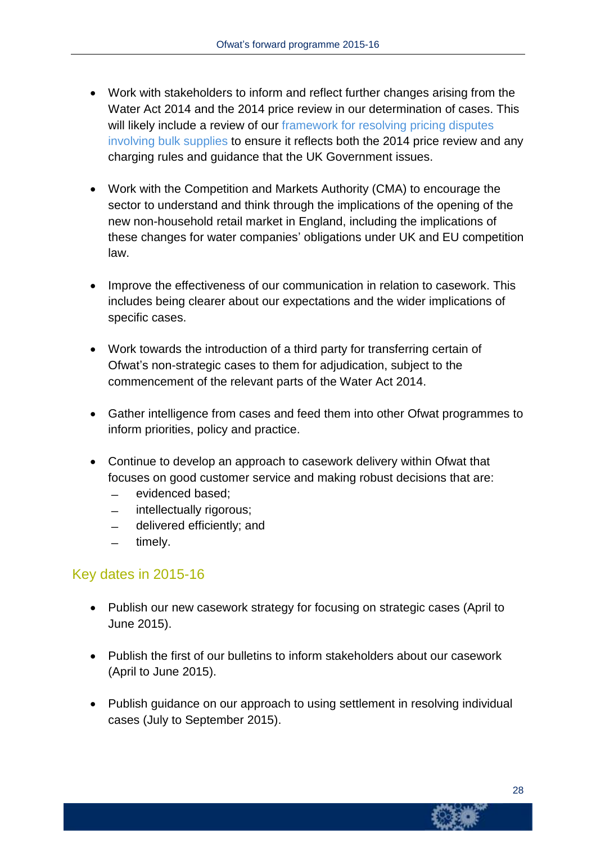- Work with stakeholders to inform and reflect further changes arising from the Water Act 2014 and the 2014 price review in our determination of cases. This will likely include a review of our [framework](http://www.ofwat.gov.uk/regulating/casework/investigation/pap_pos_bulksupplydispute) for resolving pricing disputes [involving](http://www.ofwat.gov.uk/regulating/casework/investigation/pap_pos_bulksupplydispute) bulk supplies to ensure it reflects both the 2014 price review and any charging rules and guidance that the UK Government issues.
- Work with the Competition and Markets Authority (CMA) to encourage the sector to understand and think through the implications of the opening of the new non-household retail market in England, including the implications of these changes for water companies' obligations under UK and EU competition law.
- Improve the effectiveness of our communication in relation to casework. This includes being clearer about our expectations and the wider implications of specific cases.
- Work towards the introduction of a third party for transferring certain of Ofwat's non-strategic cases to them for adjudication, subject to the commencement of the relevant parts of the Water Act 2014.
- Gather intelligence from cases and feed them into other Ofwat programmes to inform priorities, policy and practice.
- Continue to develop an approach to casework delivery within Ofwat that focuses on good customer service and making robust decisions that are:
	- ̶ evidenced based;
	- ̶ intellectually rigorous;
	- ̶ delivered efficiently; and
	- timely.

#### Key dates in 2015-16

- Publish our new casework strategy for focusing on strategic cases (April to June 2015).
- Publish the first of our bulletins to inform stakeholders about our casework (April to June 2015).
- Publish guidance on our approach to using settlement in resolving individual cases (July to September 2015).

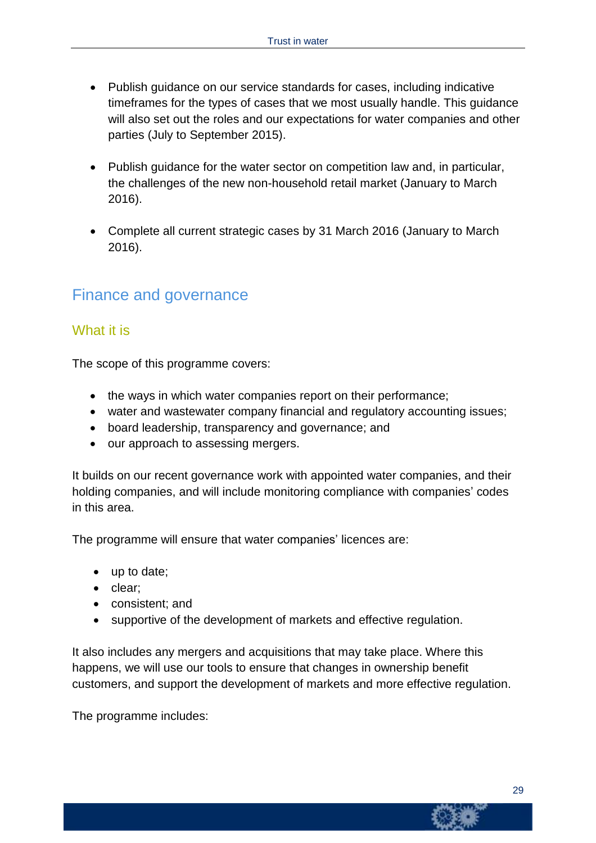- Publish guidance on our service standards for cases, including indicative timeframes for the types of cases that we most usually handle. This guidance will also set out the roles and our expectations for water companies and other parties (July to September 2015).
- Publish guidance for the water sector on competition law and, in particular, the challenges of the new non-household retail market (January to March 2016).
- Complete all current strategic cases by 31 March 2016 (January to March 2016).

### Finance and governance

#### What it is

The scope of this programme covers:

- the ways in which water companies report on their performance;
- water and wastewater company financial and regulatory accounting issues;
- board leadership, transparency and governance; and
- our approach to assessing mergers.

It builds on our recent governance work with appointed water companies, and their holding companies, and will include monitoring compliance with companies' codes in this area.

The programme will ensure that water companies' licences are:

- up to date;
- clear:
- consistent; and
- supportive of the development of markets and effective regulation.

It also includes any mergers and acquisitions that may take place. Where this happens, we will use our tools to ensure that changes in ownership benefit customers, and support the development of markets and more effective regulation.

The programme includes: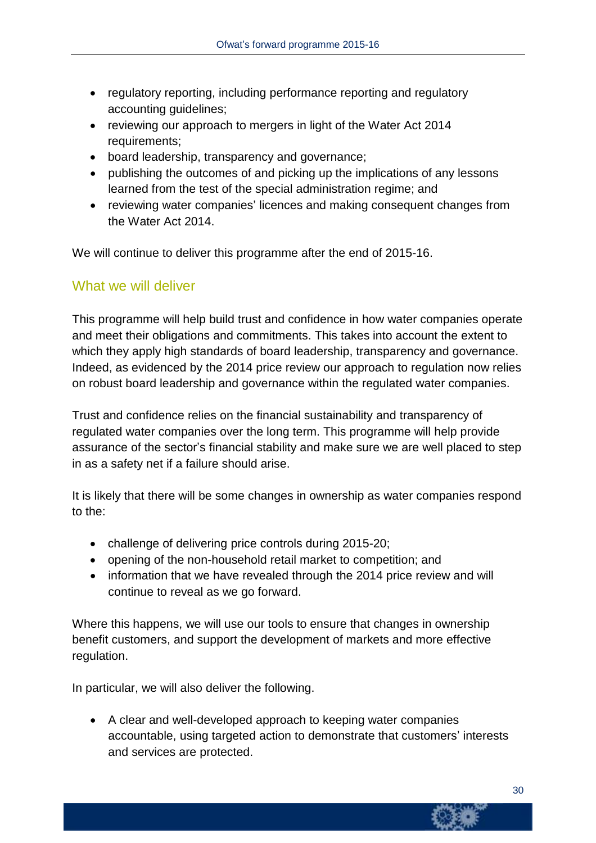- regulatory reporting, including performance reporting and regulatory accounting guidelines;
- reviewing our approach to mergers in light of the Water Act 2014 requirements;
- board leadership, transparency and governance;
- publishing the outcomes of and picking up the implications of any lessons learned from the test of the special administration regime; and
- reviewing water companies' licences and making consequent changes from the Water Act 2014.

We will continue to deliver this programme after the end of 2015-16.

#### What we will deliver

This programme will help build trust and confidence in how water companies operate and meet their obligations and commitments. This takes into account the extent to which they apply high standards of board leadership, transparency and governance. Indeed, as evidenced by the 2014 price review our approach to regulation now relies on robust board leadership and governance within the regulated water companies.

Trust and confidence relies on the financial sustainability and transparency of regulated water companies over the long term. This programme will help provide assurance of the sector's financial stability and make sure we are well placed to step in as a safety net if a failure should arise.

It is likely that there will be some changes in ownership as water companies respond to the:

- challenge of delivering price controls during 2015-20;
- opening of the non-household retail market to competition; and
- information that we have revealed through the 2014 price review and will continue to reveal as we go forward.

Where this happens, we will use our tools to ensure that changes in ownership benefit customers, and support the development of markets and more effective regulation.

In particular, we will also deliver the following.

 A clear and well-developed approach to keeping water companies accountable, using targeted action to demonstrate that customers' interests and services are protected.

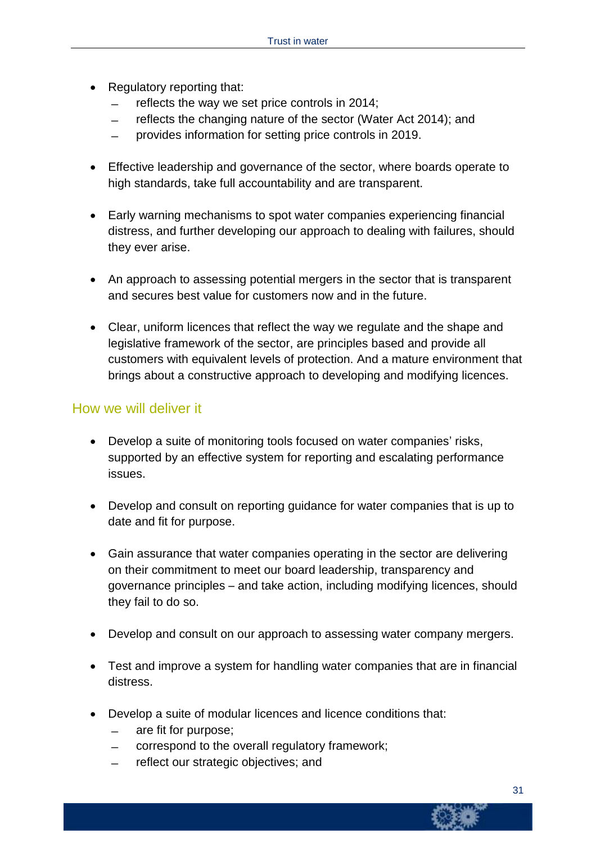- Regulatory reporting that:
	- ̶ reflects the way we set price controls in 2014;
	- ̶ reflects the changing nature of the sector (Water Act 2014); and
	- ̶ provides information for setting price controls in 2019.
- Effective leadership and governance of the sector, where boards operate to high standards, take full accountability and are transparent.
- Early warning mechanisms to spot water companies experiencing financial distress, and further developing our approach to dealing with failures, should they ever arise.
- An approach to assessing potential mergers in the sector that is transparent and secures best value for customers now and in the future.
- Clear, uniform licences that reflect the way we regulate and the shape and legislative framework of the sector, are principles based and provide all customers with equivalent levels of protection. And a mature environment that brings about a constructive approach to developing and modifying licences.

#### How we will deliver it

- Develop a suite of monitoring tools focused on water companies' risks, supported by an effective system for reporting and escalating performance issues.
- Develop and consult on reporting guidance for water companies that is up to date and fit for purpose.
- Gain assurance that water companies operating in the sector are delivering on their commitment to meet our board leadership, transparency and governance principles – and take action, including modifying licences, should they fail to do so.
- Develop and consult on our approach to assessing water company mergers.
- Test and improve a system for handling water companies that are in financial distress.
- Develop a suite of modular licences and licence conditions that:
	- ̶ are fit for purpose;
	- ̶ correspond to the overall regulatory framework;
	- ̶ reflect our strategic objectives; and

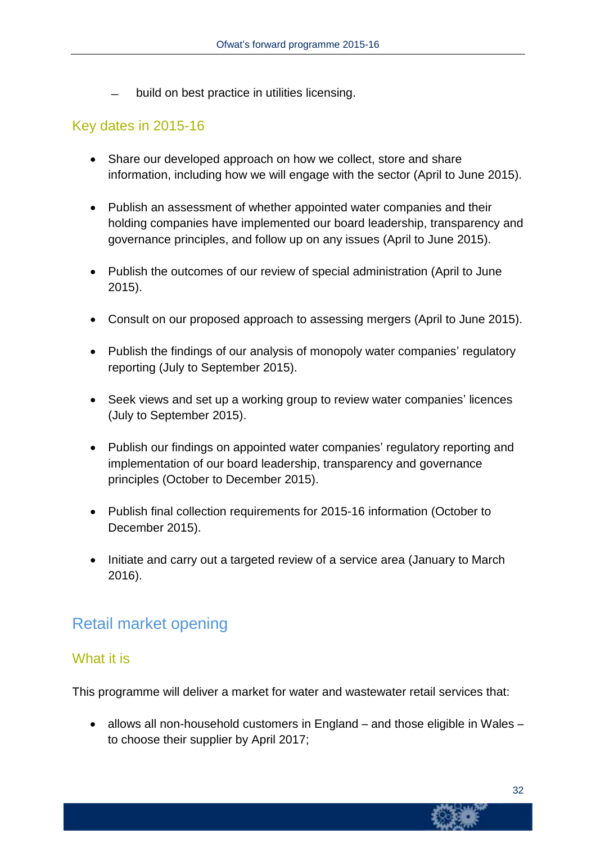̶ build on best practice in utilities licensing.

#### Key dates in 2015-16

- Share our developed approach on how we collect, store and share information, including how we will engage with the sector (April to June 2015).
- Publish an assessment of whether appointed water companies and their holding companies have implemented our board leadership, transparency and governance principles, and follow up on any issues (April to June 2015).
- Publish the outcomes of our review of special administration (April to June 2015).
- Consult on our proposed approach to assessing mergers (April to June 2015).
- Publish the findings of our analysis of monopoly water companies' regulatory reporting (July to September 2015).
- Seek views and set up a working group to review water companies' licences (July to September 2015).
- Publish our findings on appointed water companies' regulatory reporting and implementation of our board leadership, transparency and governance principles (October to December 2015).
- Publish final collection requirements for 2015-16 information (October to December 2015).
- Initiate and carry out a targeted review of a service area (January to March 2016).

### Retail market opening

#### What it is

This programme will deliver a market for water and wastewater retail services that:

• allows all non-household customers in England – and those eligible in Wales – to choose their supplier by April 2017;

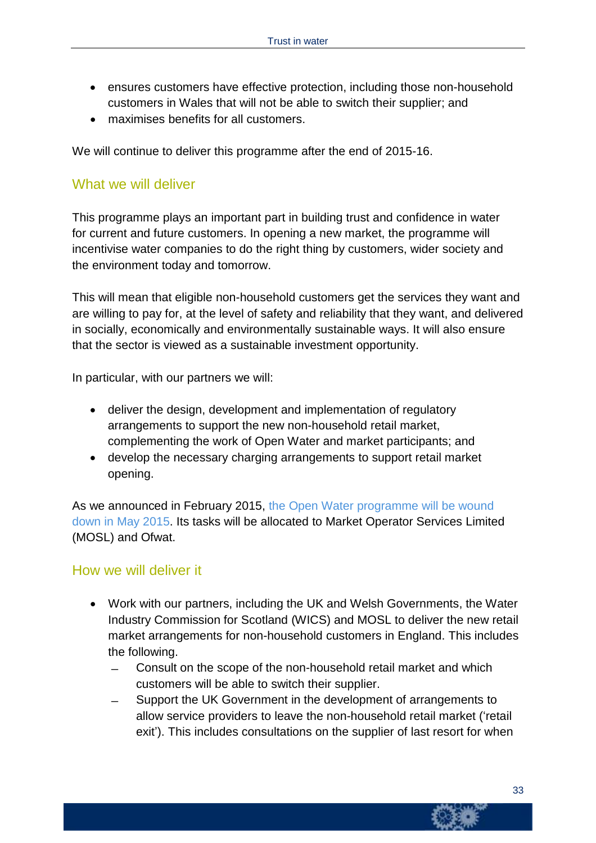- ensures customers have effective protection, including those non-household customers in Wales that will not be able to switch their supplier; and
- maximises benefits for all customers.

We will continue to deliver this programme after the end of 2015-16.

#### What we will deliver

This programme plays an important part in building trust and confidence in water for current and future customers. In opening a new market, the programme will incentivise water companies to do the right thing by customers, wider society and the environment today and tomorrow.

This will mean that eligible non-household customers get the services they want and are willing to pay for, at the level of safety and reliability that they want, and delivered in socially, economically and environmentally sustainable ways. It will also ensure that the sector is viewed as a sustainable investment opportunity.

In particular, with our partners we will:

- deliver the design, development and implementation of regulatory arrangements to support the new non-household retail market, complementing the work of Open Water and market participants; and
- develop the necessary charging arrangements to support retail market opening.

As we announced in February 2015, the Open Water [programme](http://www.ofwat.gov.uk/competition/review/ltr_stk201502opewater.pdf) will be wound down in May [2015.](http://www.ofwat.gov.uk/competition/review/ltr_stk201502opewater.pdf) Its tasks will be allocated to Market Operator Services Limited (MOSL) and Ofwat.

#### How we will deliver it

- Work with our partners, including the UK and Welsh Governments, the Water Industry Commission for Scotland (WICS) and MOSL to deliver the new retail market arrangements for non-household customers in England. This includes the following.
	- ̶ Consult on the scope of the non-household retail market and which customers will be able to switch their supplier.
	- ̶ Support the UK Government in the development of arrangements to allow service providers to leave the non-household retail market ('retail exit'). This includes consultations on the supplier of last resort for when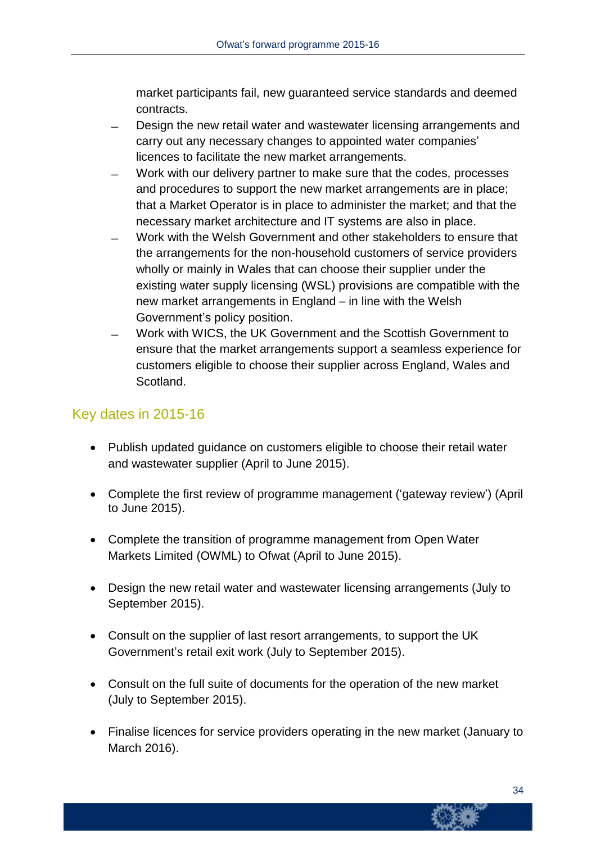market participants fail, new guaranteed service standards and deemed contracts.

- ̶ Design the new retail water and wastewater licensing arrangements and carry out any necessary changes to appointed water companies' licences to facilitate the new market arrangements.
- ̶ Work with our delivery partner to make sure that the codes, processes and procedures to support the new market arrangements are in place; that a Market Operator is in place to administer the market; and that the necessary market architecture and IT systems are also in place.
- ̶ Work with the Welsh Government and other stakeholders to ensure that the arrangements for the non-household customers of service providers wholly or mainly in Wales that can choose their supplier under the existing water supply licensing (WSL) provisions are compatible with the new market arrangements in England – in line with the Welsh Government's policy position.
- ̶ Work with WICS, the UK Government and the Scottish Government to ensure that the market arrangements support a seamless experience for customers eligible to choose their supplier across England, Wales and Scotland.

### Key dates in 2015-16

- Publish updated guidance on customers eligible to choose their retail water and wastewater supplier (April to June 2015).
- Complete the first review of programme management ('gateway review') (April to June 2015).
- Complete the transition of programme management from Open Water Markets Limited (OWML) to Ofwat (April to June 2015).
- Design the new retail water and wastewater licensing arrangements (July to September 2015).
- Consult on the supplier of last resort arrangements, to support the UK Government's retail exit work (July to September 2015).
- Consult on the full suite of documents for the operation of the new market (July to September 2015).
- Finalise licences for service providers operating in the new market (January to March 2016).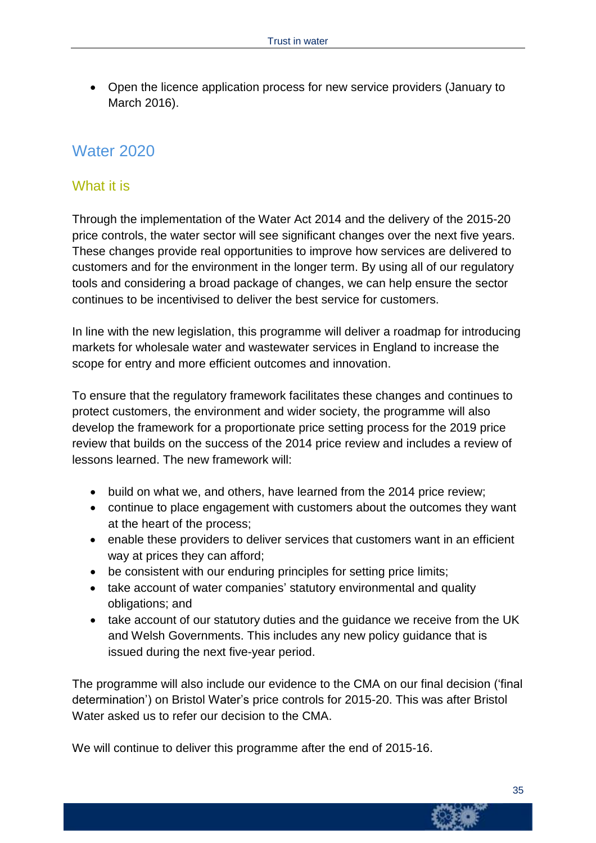Open the licence application process for new service providers (January to March 2016).

### Water 2020

#### What it is

Through the implementation of the Water Act 2014 and the delivery of the 2015-20 price controls, the water sector will see significant changes over the next five years. These changes provide real opportunities to improve how services are delivered to customers and for the environment in the longer term. By using all of our regulatory tools and considering a broad package of changes, we can help ensure the sector continues to be incentivised to deliver the best service for customers.

In line with the new legislation, this programme will deliver a roadmap for introducing markets for wholesale water and wastewater services in England to increase the scope for entry and more efficient outcomes and innovation.

To ensure that the regulatory framework facilitates these changes and continues to protect customers, the environment and wider society, the programme will also develop the framework for a proportionate price setting process for the 2019 price review that builds on the success of the 2014 price review and includes a review of lessons learned. The new framework will:

- build on what we, and others, have learned from the 2014 price review;
- continue to place engagement with customers about the outcomes they want at the heart of the process;
- enable these providers to deliver services that customers want in an efficient way at prices they can afford;
- be consistent with our enduring principles for setting price limits;
- take account of water companies' statutory environmental and quality obligations; and
- take account of our statutory duties and the guidance we receive from the UK and Welsh Governments. This includes any new policy guidance that is issued during the next five-year period.

The programme will also include our evidence to the CMA on our final decision ('final determination') on Bristol Water's price controls for 2015-20. This was after Bristol Water asked us to refer our decision to the CMA.

We will continue to deliver this programme after the end of 2015-16.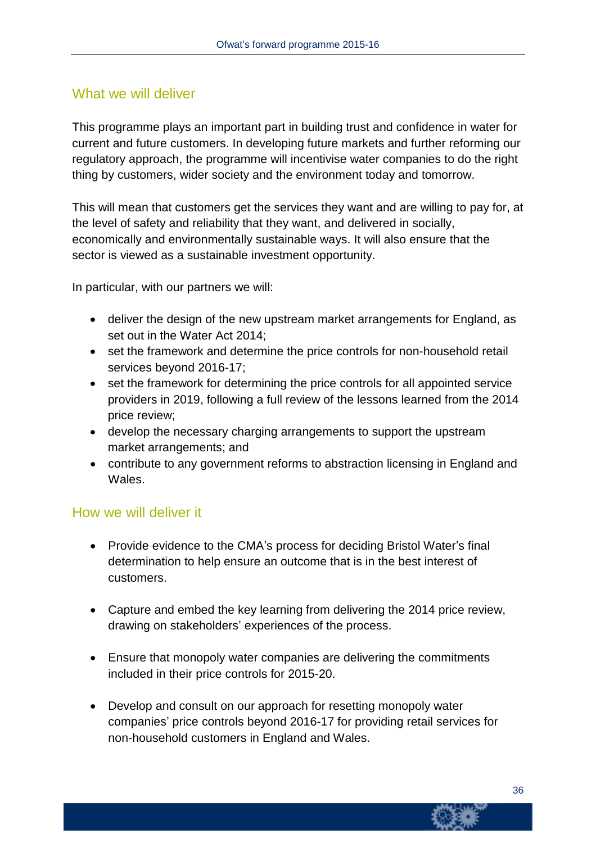#### What we will deliver

This programme plays an important part in building trust and confidence in water for current and future customers. In developing future markets and further reforming our regulatory approach, the programme will incentivise water companies to do the right thing by customers, wider society and the environment today and tomorrow.

This will mean that customers get the services they want and are willing to pay for, at the level of safety and reliability that they want, and delivered in socially, economically and environmentally sustainable ways. It will also ensure that the sector is viewed as a sustainable investment opportunity.

In particular, with our partners we will:

- deliver the design of the new upstream market arrangements for England, as set out in the Water Act 2014;
- set the framework and determine the price controls for non-household retail services beyond 2016-17;
- set the framework for determining the price controls for all appointed service providers in 2019, following a full review of the lessons learned from the 2014 price review;
- develop the necessary charging arrangements to support the upstream market arrangements; and
- contribute to any government reforms to abstraction licensing in England and Wales.

#### How we will deliver it

- Provide evidence to the CMA's process for deciding Bristol Water's final determination to help ensure an outcome that is in the best interest of customers.
- Capture and embed the key learning from delivering the 2014 price review, drawing on stakeholders' experiences of the process.
- Ensure that monopoly water companies are delivering the commitments included in their price controls for 2015-20.
- Develop and consult on our approach for resetting monopoly water companies' price controls beyond 2016-17 for providing retail services for non-household customers in England and Wales.

36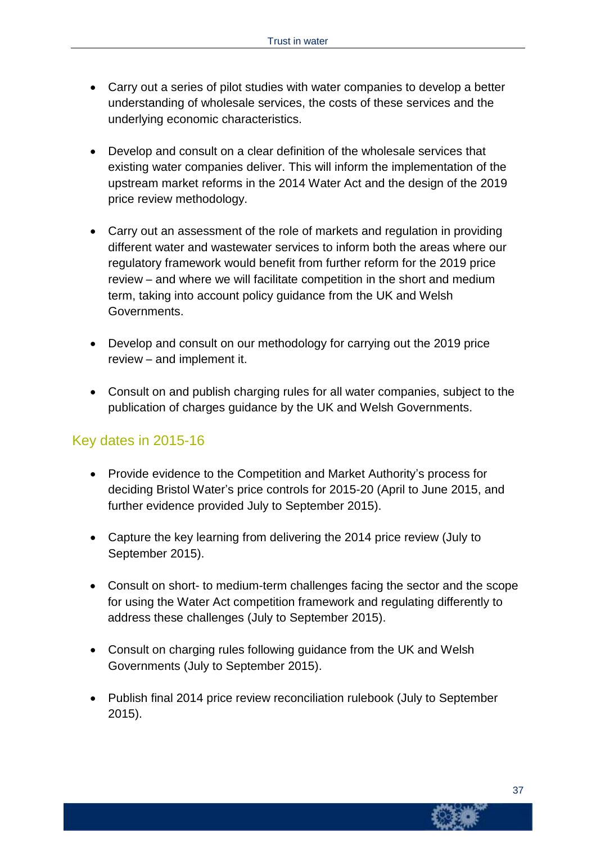- Carry out a series of pilot studies with water companies to develop a better understanding of wholesale services, the costs of these services and the underlying economic characteristics.
- Develop and consult on a clear definition of the wholesale services that existing water companies deliver. This will inform the implementation of the upstream market reforms in the 2014 Water Act and the design of the 2019 price review methodology.
- Carry out an assessment of the role of markets and regulation in providing different water and wastewater services to inform both the areas where our regulatory framework would benefit from further reform for the 2019 price review – and where we will facilitate competition in the short and medium term, taking into account policy guidance from the UK and Welsh Governments.
- Develop and consult on our methodology for carrying out the 2019 price review – and implement it.
- Consult on and publish charging rules for all water companies, subject to the publication of charges guidance by the UK and Welsh Governments.

#### Key dates in 2015-16

- Provide evidence to the Competition and Market Authority's process for deciding Bristol Water's price controls for 2015-20 (April to June 2015, and further evidence provided July to September 2015).
- Capture the key learning from delivering the 2014 price review (July to September 2015).
- Consult on short- to medium-term challenges facing the sector and the scope for using the Water Act competition framework and regulating differently to address these challenges (July to September 2015).
- Consult on charging rules following guidance from the UK and Welsh Governments (July to September 2015).
- Publish final 2014 price review reconciliation rulebook (July to September 2015).

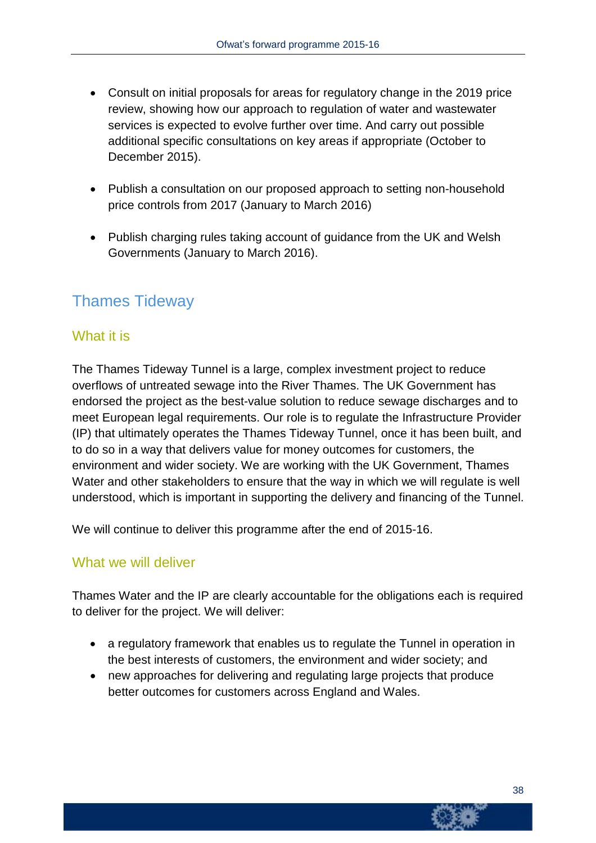- Consult on initial proposals for areas for regulatory change in the 2019 price review, showing how our approach to regulation of water and wastewater services is expected to evolve further over time. And carry out possible additional specific consultations on key areas if appropriate (October to December 2015).
- Publish a consultation on our proposed approach to setting non-household price controls from 2017 (January to March 2016)
- Publish charging rules taking account of guidance from the UK and Welsh Governments (January to March 2016).

### Thames Tideway

#### What it is

The Thames Tideway Tunnel is a large, complex investment project to reduce overflows of untreated sewage into the River Thames. The UK Government has endorsed the project as the best-value solution to reduce sewage discharges and to meet European legal requirements. Our role is to regulate the Infrastructure Provider (IP) that ultimately operates the Thames Tideway Tunnel, once it has been built, and to do so in a way that delivers value for money outcomes for customers, the environment and wider society. We are working with the UK Government, Thames Water and other stakeholders to ensure that the way in which we will regulate is well understood, which is important in supporting the delivery and financing of the Tunnel.

We will continue to deliver this programme after the end of 2015-16.

#### What we will deliver

Thames Water and the IP are clearly accountable for the obligations each is required to deliver for the project. We will deliver:

- a regulatory framework that enables us to regulate the Tunnel in operation in the best interests of customers, the environment and wider society; and
- new approaches for delivering and regulating large projects that produce better outcomes for customers across England and Wales.

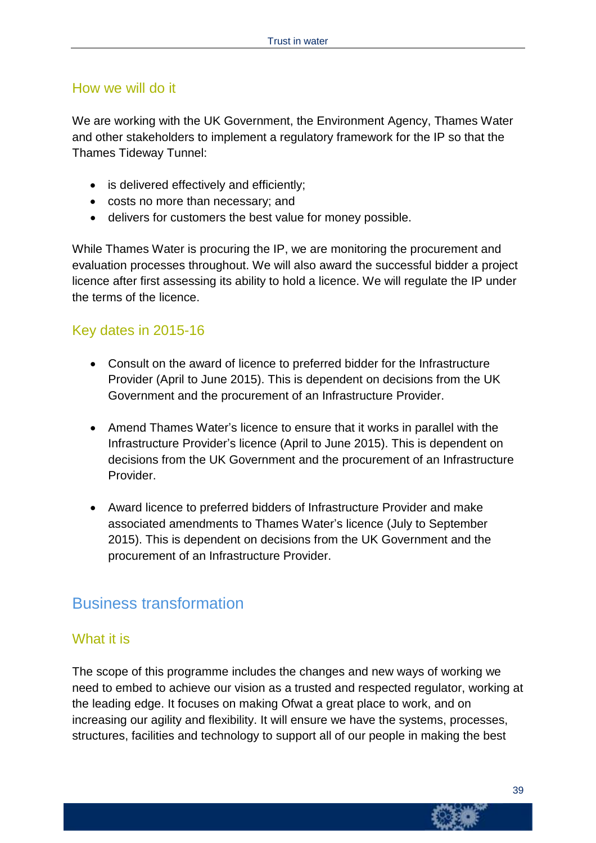#### How we will do it

We are working with the UK Government, the Environment Agency, Thames Water and other stakeholders to implement a regulatory framework for the IP so that the Thames Tideway Tunnel:

- is delivered effectively and efficiently;
- costs no more than necessary; and
- delivers for customers the best value for money possible.

While Thames Water is procuring the IP, we are monitoring the procurement and evaluation processes throughout. We will also award the successful bidder a project licence after first assessing its ability to hold a licence. We will regulate the IP under the terms of the licence.

#### Key dates in 2015-16

- Consult on the award of licence to preferred bidder for the Infrastructure Provider (April to June 2015). This is dependent on decisions from the UK Government and the procurement of an Infrastructure Provider.
- Amend Thames Water's licence to ensure that it works in parallel with the Infrastructure Provider's licence (April to June 2015). This is dependent on decisions from the UK Government and the procurement of an Infrastructure Provider.
- Award licence to preferred bidders of Infrastructure Provider and make associated amendments to Thames Water's licence (July to September 2015). This is dependent on decisions from the UK Government and the procurement of an Infrastructure Provider.

### Business transformation

#### What it is

The scope of this programme includes the changes and new ways of working we need to embed to achieve our vision as a trusted and respected regulator, working at the leading edge. It focuses on making Ofwat a great place to work, and on increasing our agility and flexibility. It will ensure we have the systems, processes, structures, facilities and technology to support all of our people in making the best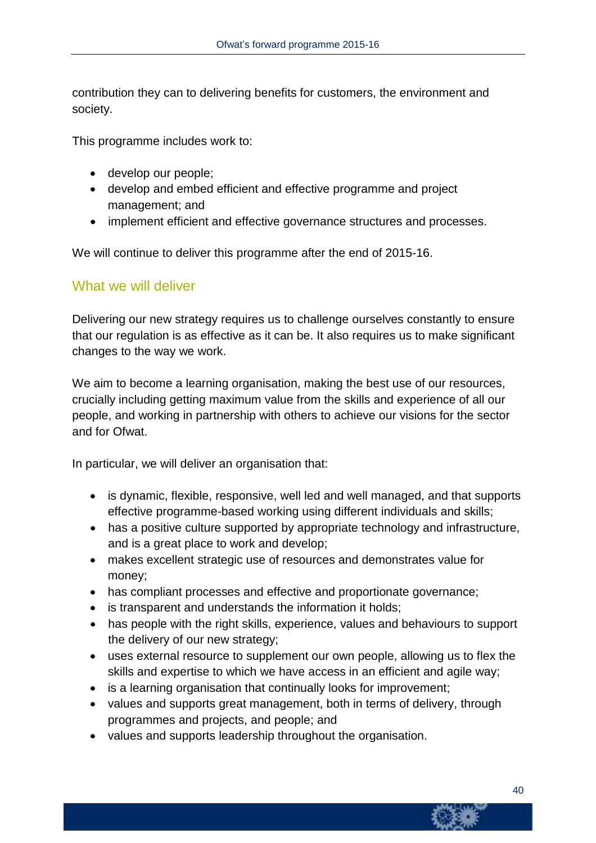contribution they can to delivering benefits for customers, the environment and society.

This programme includes work to:

- develop our people;
- develop and embed efficient and effective programme and project management; and
- implement efficient and effective governance structures and processes.

We will continue to deliver this programme after the end of 2015-16.

#### What we will deliver

Delivering our new strategy requires us to challenge ourselves constantly to ensure that our regulation is as effective as it can be. It also requires us to make significant changes to the way we work.

We aim to become a learning organisation, making the best use of our resources, crucially including getting maximum value from the skills and experience of all our people, and working in partnership with others to achieve our visions for the sector and for Ofwat.

In particular, we will deliver an organisation that:

- is dynamic, flexible, responsive, well led and well managed, and that supports effective programme-based working using different individuals and skills;
- has a positive culture supported by appropriate technology and infrastructure, and is a great place to work and develop;
- makes excellent strategic use of resources and demonstrates value for money;
- has compliant processes and effective and proportionate governance;
- is transparent and understands the information it holds;
- has people with the right skills, experience, values and behaviours to support the delivery of our new strategy;
- uses external resource to supplement our own people, allowing us to flex the skills and expertise to which we have access in an efficient and agile way;
- is a learning organisation that continually looks for improvement;
- values and supports great management, both in terms of delivery, through programmes and projects, and people; and
- values and supports leadership throughout the organisation.

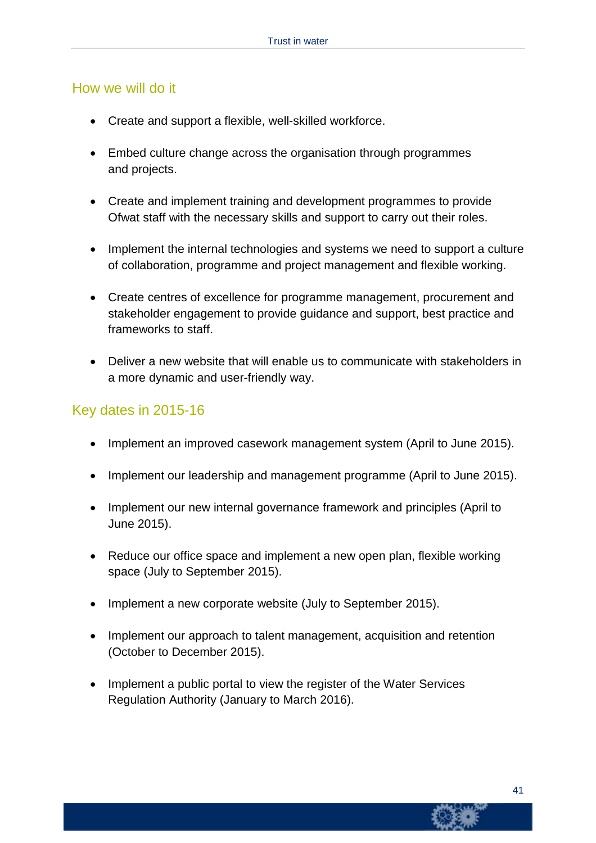#### How we will do it

- Create and support a flexible, well-skilled workforce.
- Embed culture change across the organisation through programmes and projects.
- Create and implement training and development programmes to provide Ofwat staff with the necessary skills and support to carry out their roles.
- Implement the internal technologies and systems we need to support a culture of collaboration, programme and project management and flexible working.
- Create centres of excellence for programme management, procurement and stakeholder engagement to provide guidance and support, best practice and frameworks to staff.
- Deliver a new website that will enable us to communicate with stakeholders in a more dynamic and user-friendly way.

#### Key dates in 2015-16

- Implement an improved casework management system (April to June 2015).
- Implement our leadership and management programme (April to June 2015).
- Implement our new internal governance framework and principles (April to June 2015).
- Reduce our office space and implement a new open plan, flexible working space (July to September 2015).
- Implement a new corporate website (July to September 2015).
- Implement our approach to talent management, acquisition and retention (October to December 2015).
- Implement a public portal to view the register of the Water Services Regulation Authority (January to March 2016).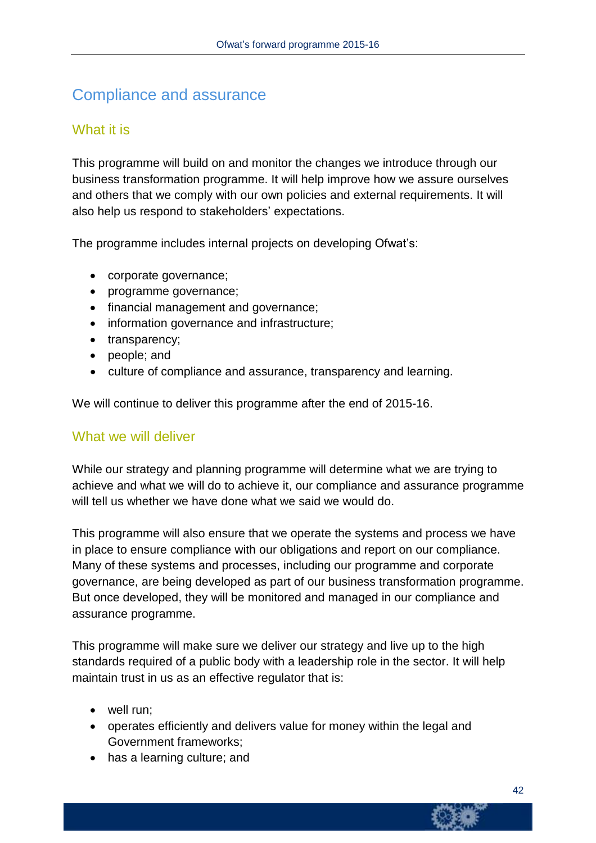### Compliance and assurance

#### What it is

This programme will build on and monitor the changes we introduce through our business transformation programme. It will help improve how we assure ourselves and others that we comply with our own policies and external requirements. It will also help us respond to stakeholders' expectations.

The programme includes internal projects on developing Ofwat's:

- corporate governance;
- programme governance;
- financial management and governance;
- information governance and infrastructure;
- transparency;
- people; and
- culture of compliance and assurance, transparency and learning.

We will continue to deliver this programme after the end of 2015-16.

#### What we will deliver

While our strategy and planning programme will determine what we are trying to achieve and what we will do to achieve it, our compliance and assurance programme will tell us whether we have done what we said we would do.

This programme will also ensure that we operate the systems and process we have in place to ensure compliance with our obligations and report on our compliance. Many of these systems and processes, including our programme and corporate governance, are being developed as part of our business transformation programme. But once developed, they will be monitored and managed in our compliance and assurance programme.

This programme will make sure we deliver our strategy and live up to the high standards required of a public body with a leadership role in the sector. It will help maintain trust in us as an effective regulator that is:

- well run:
- operates efficiently and delivers value for money within the legal and Government frameworks;
- has a learning culture; and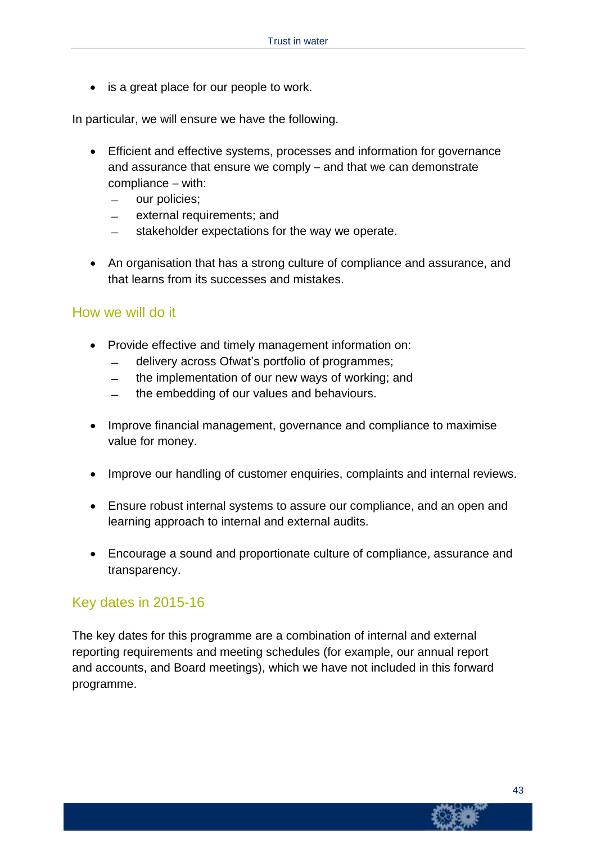• is a great place for our people to work.

In particular, we will ensure we have the following.

- Efficient and effective systems, processes and information for governance and assurance that ensure we comply – and that we can demonstrate compliance – with:
	- ̶ our policies;
	- ̶ external requirements; and
	- stakeholder expectations for the way we operate.
- An organisation that has a strong culture of compliance and assurance, and that learns from its successes and mistakes.

#### How we will do it

- Provide effective and timely management information on:
	- ̶ delivery across Ofwat's portfolio of programmes;
	- ̶ the implementation of our new ways of working; and
	- ̶ the embedding of our values and behaviours.
- Improve financial management, governance and compliance to maximise value for money.
- Improve our handling of customer enquiries, complaints and internal reviews.
- Ensure robust internal systems to assure our compliance, and an open and learning approach to internal and external audits.
- Encourage a sound and proportionate culture of compliance, assurance and transparency.

#### Key dates in 2015-16

The key dates for this programme are a combination of internal and external reporting requirements and meeting schedules (for example, our annual report and accounts, and Board meetings), which we have not included in this forward programme.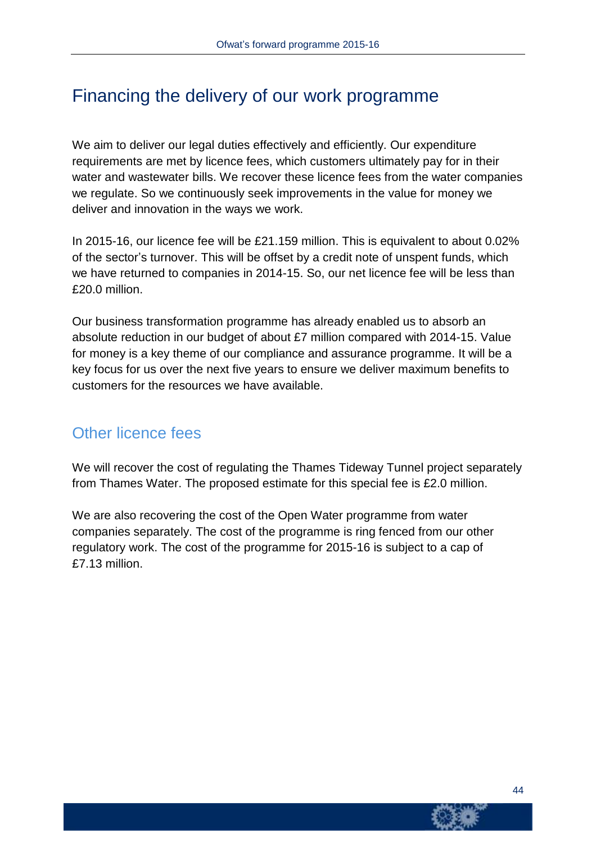### Financing the delivery of our work programme

We aim to deliver our legal duties effectively and efficiently. Our expenditure requirements are met by licence fees, which customers ultimately pay for in their water and wastewater bills. We recover these licence fees from the water companies we regulate. So we continuously seek improvements in the value for money we deliver and innovation in the ways we work.

In 2015-16, our licence fee will be £21.159 million. This is equivalent to about 0.02% of the sector's turnover. This will be offset by a credit note of unspent funds, which we have returned to companies in 2014-15. So, our net licence fee will be less than £20.0 million.

Our business transformation programme has already enabled us to absorb an absolute reduction in our budget of about £7 million compared with 2014-15. Value for money is a key theme of our compliance and assurance programme. It will be a key focus for us over the next five years to ensure we deliver maximum benefits to customers for the resources we have available.

### Other licence fees

We will recover the cost of regulating the Thames Tideway Tunnel project separately from Thames Water. The proposed estimate for this special fee is £2.0 million.

We are also recovering the cost of the Open Water programme from water companies separately. The cost of the programme is ring fenced from our other regulatory work. The cost of the programme for 2015-16 is subject to a cap of £7.13 million.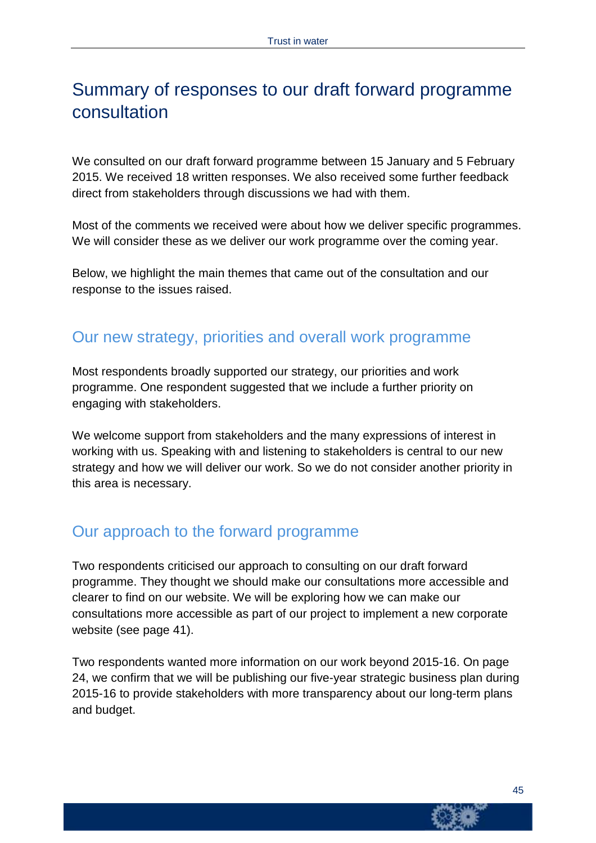# Summary of responses to our draft forward programme consultation

We consulted on our draft forward programme between 15 January and 5 February 2015. We received 18 written responses. We also received some further feedback direct from stakeholders through discussions we had with them.

Most of the comments we received were about how we deliver specific programmes. We will consider these as we deliver our work programme over the coming year.

Below, we highlight the main themes that came out of the consultation and our response to the issues raised.

### Our new strategy, priorities and overall work programme

Most respondents broadly supported our strategy, our priorities and work programme. One respondent suggested that we include a further priority on engaging with stakeholders.

We welcome support from stakeholders and the many expressions of interest in working with us. Speaking with and listening to stakeholders is central to our new strategy and how we will deliver our work. So we do not consider another priority in this area is necessary.

### Our approach to the forward programme

Two respondents criticised our approach to consulting on our draft forward programme. They thought we should make our consultations more accessible and clearer to find on our website. We will be exploring how we can make our consultations more accessible as part of our project to implement a new corporate website (see page 41).

Two respondents wanted more information on our work beyond 2015-16. On page 24, we confirm that we will be publishing our five-year strategic business plan during 2015-16 to provide stakeholders with more transparency about our long-term plans and budget.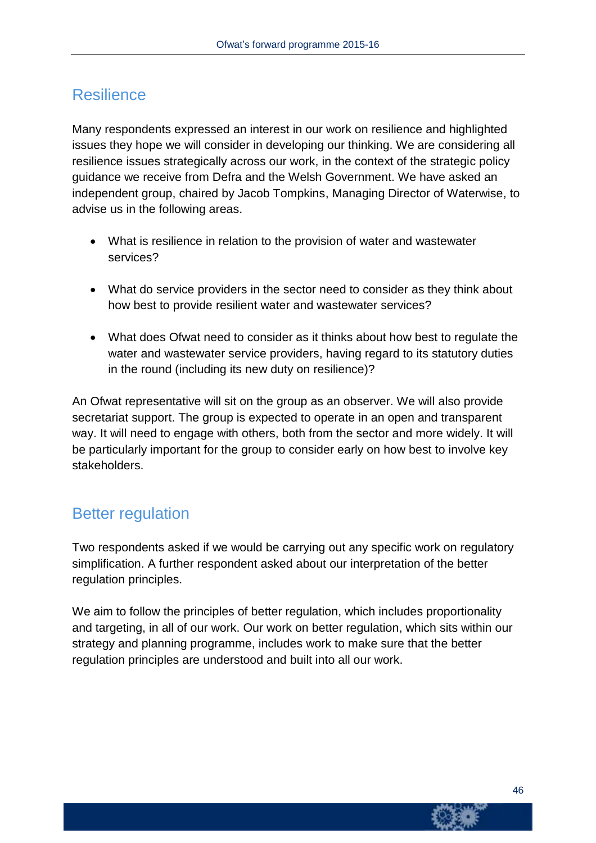### **Resilience**

Many respondents expressed an interest in our work on resilience and highlighted issues they hope we will consider in developing our thinking. We are considering all resilience issues strategically across our work, in the context of the strategic policy guidance we receive from Defra and the Welsh Government. We have asked an independent group, chaired by Jacob Tompkins, Managing Director of Waterwise, to advise us in the following areas.

- What is resilience in relation to the provision of water and wastewater services?
- What do service providers in the sector need to consider as they think about how best to provide resilient water and wastewater services?
- What does Ofwat need to consider as it thinks about how best to regulate the water and wastewater service providers, having regard to its statutory duties in the round (including its new duty on resilience)?

An Ofwat representative will sit on the group as an observer. We will also provide secretariat support. The group is expected to operate in an open and transparent way. It will need to engage with others, both from the sector and more widely. It will be particularly important for the group to consider early on how best to involve key stakeholders.

### Better regulation

Two respondents asked if we would be carrying out any specific work on regulatory simplification. A further respondent asked about our interpretation of the better regulation principles.

We aim to follow the principles of better regulation, which includes proportionality and targeting, in all of our work. Our work on better regulation, which sits within our strategy and planning programme, includes work to make sure that the better regulation principles are understood and built into all our work.

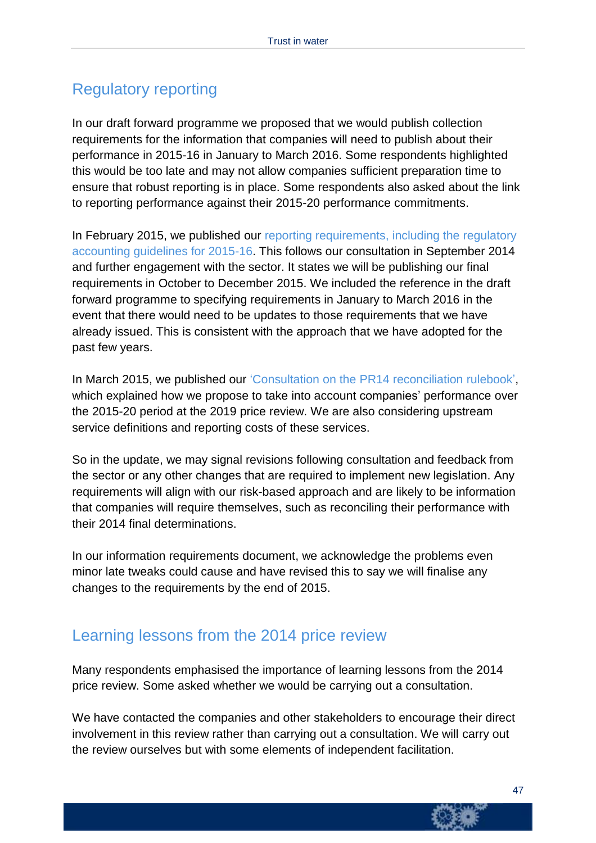### Regulatory reporting

In our draft forward programme we proposed that we would publish collection requirements for the information that companies will need to publish about their performance in 2015-16 in January to March 2016. Some respondents highlighted this would be too late and may not allow companies sufficient preparation time to ensure that robust reporting is in place. Some respondents also asked about the link to reporting performance against their 2015-20 performance commitments.

In February 2015, we published [our reporting requirements,](http://www.ofwat.gov.uk/regulating/compliance/assurance/prs_in1501informationassurance.pdf) including the regulatory [accounting guidelines for 2015-16.](http://www.ofwat.gov.uk/regulating/compliance/assurance/prs_in1501informationassurance.pdf) This follows our consultation in September 2014 and further engagement with the sector. It states we will be publishing our final requirements in October to December 2015. We included the reference in the draft forward programme to specifying requirements in January to March 2016 in the event that there would need to be updates to those requirements that we have already issued. This is consistent with the approach that we have adopted for the past few years.

In March 2015, we published our 'Consultation on the PR14 [reconciliation](http://www.ofwat.gov.uk/pricereview/pr14/pap_con201503pr14rulebook.pdf) rulebook', which explained how we propose to take into account companies' performance over the 2015-20 period at the 2019 price review. We are also considering upstream service definitions and reporting costs of these services.

So in the update, we may signal revisions following consultation and feedback from the sector or any other changes that are required to implement new legislation. Any requirements will align with our risk-based approach and are likely to be information that companies will require themselves, such as reconciling their performance with their 2014 final determinations.

In our information requirements document, we acknowledge the problems even minor late tweaks could cause and have revised this to say we will finalise any changes to the requirements by the end of 2015.

### Learning lessons from the 2014 price review

Many respondents emphasised the importance of learning lessons from the 2014 price review. Some asked whether we would be carrying out a consultation.

We have contacted the companies and other stakeholders to encourage their direct involvement in this review rather than carrying out a consultation. We will carry out the review ourselves but with some elements of independent facilitation.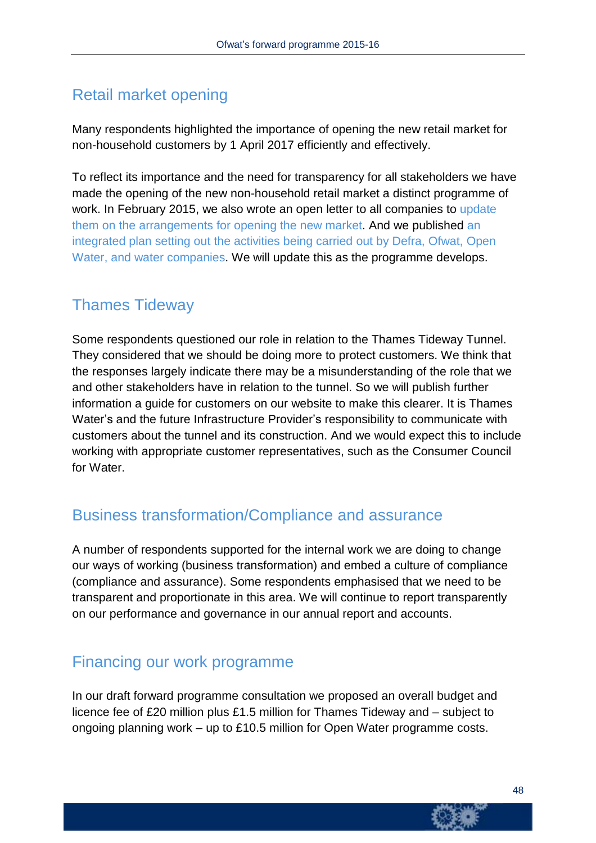### Retail market opening

Many respondents highlighted the importance of opening the new retail market for non-household customers by 1 April 2017 efficiently and effectively.

To reflect its importance and the need for transparency for all stakeholders we have made the opening of the new non-household retail market a distinct programme of work. In February 2015, we also wrote an open letter to all companies to [update](http://www.ofwat.gov.uk/content?id=6edae24f-b68d-11e4-9530-81ae90d64c02) them on the [arrangements](http://www.ofwat.gov.uk/content?id=6edae24f-b68d-11e4-9530-81ae90d64c02) for opening the new market. And we published [an](http://www.ofwat.gov.uk/competition/review/pap_tec20150218retailmarketplan.xlsx) [integrated](http://www.ofwat.gov.uk/competition/review/pap_tec20150218retailmarketplan.xlsx) plan setting out the activities being carried out by Defra, Ofwat, Open Water, and water [companies.](http://www.ofwat.gov.uk/competition/review/pap_tec20150218retailmarketplan.xlsx) We will update this as the programme develops.

### Thames Tideway

Some respondents questioned our role in relation to the Thames Tideway Tunnel. They considered that we should be doing more to protect customers. We think that the responses largely indicate there may be a misunderstanding of the role that we and other stakeholders have in relation to the tunnel. So we will publish further information a guide for customers on our website to make this clearer. It is Thames Water's and the future Infrastructure Provider's responsibility to communicate with customers about the tunnel and its construction. And we would expect this to include working with appropriate customer representatives, such as the Consumer Council for Water.

### Business transformation/Compliance and assurance

A number of respondents supported for the internal work we are doing to change our ways of working (business transformation) and embed a culture of compliance (compliance and assurance). Some respondents emphasised that we need to be transparent and proportionate in this area. We will continue to report transparently on our performance and governance in our annual report and accounts.

### Financing our work programme

In our draft forward programme consultation we proposed an overall budget and licence fee of £20 million plus £1.5 million for Thames Tideway and – subject to ongoing planning work – up to £10.5 million for Open Water programme costs.

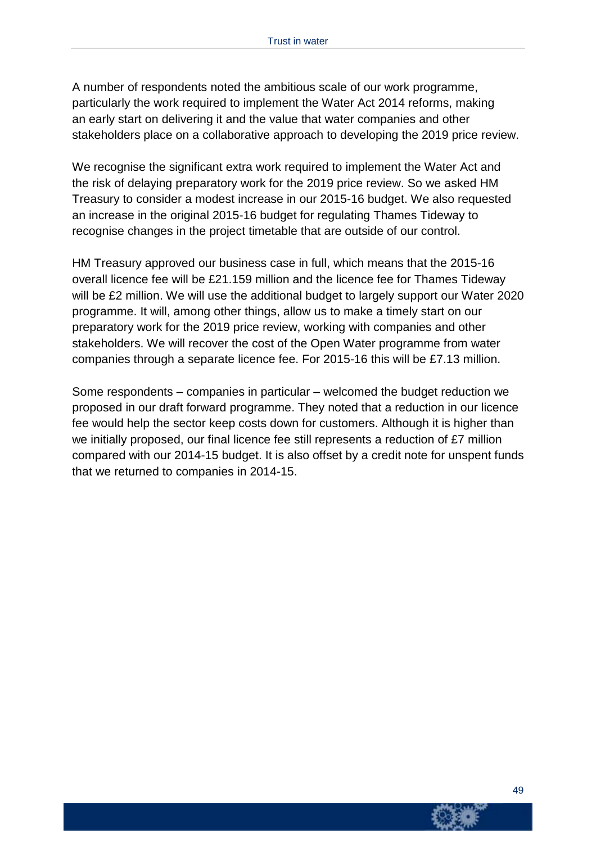A number of respondents noted the ambitious scale of our work programme, particularly the work required to implement the Water Act 2014 reforms, making an early start on delivering it and the value that water companies and other stakeholders place on a collaborative approach to developing the 2019 price review.

We recognise the significant extra work required to implement the Water Act and the risk of delaying preparatory work for the 2019 price review. So we asked HM Treasury to consider a modest increase in our 2015-16 budget. We also requested an increase in the original 2015-16 budget for regulating Thames Tideway to recognise changes in the project timetable that are outside of our control.

HM Treasury approved our business case in full, which means that the 2015-16 overall licence fee will be £21.159 million and the licence fee for Thames Tideway will be £2 million. We will use the additional budget to largely support our Water 2020 programme. It will, among other things, allow us to make a timely start on our preparatory work for the 2019 price review, working with companies and other stakeholders. We will recover the cost of the Open Water programme from water companies through a separate licence fee. For 2015-16 this will be £7.13 million.

Some respondents – companies in particular – welcomed the budget reduction we proposed in our draft forward programme. They noted that a reduction in our licence fee would help the sector keep costs down for customers. Although it is higher than we initially proposed, our final licence fee still represents a reduction of £7 million compared with our 2014-15 budget. It is also offset by a credit note for unspent funds that we returned to companies in 2014-15.